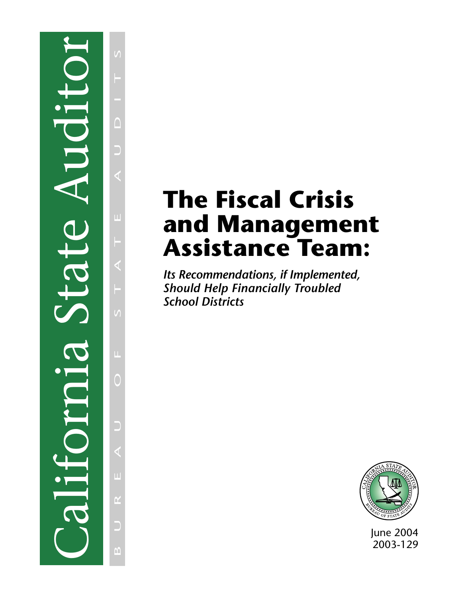# California State Auditor T LOT  $\Box$

 $\sqrt{ }$ B U R E A U O F S T A T E A U D I T S $\Box$ Ξ Ш П  $\blacktriangleleft$  $\sqrt{ }$  $\mathbf{L}$ 0 L.  $\alpha$ D  $\overline{M}$ 

# **The Fiscal Crisis and Management Assistance Team:**

*Its Recommendations, if Implemented, Should Help Financially Troubled School Districts*



June 2004 2003-129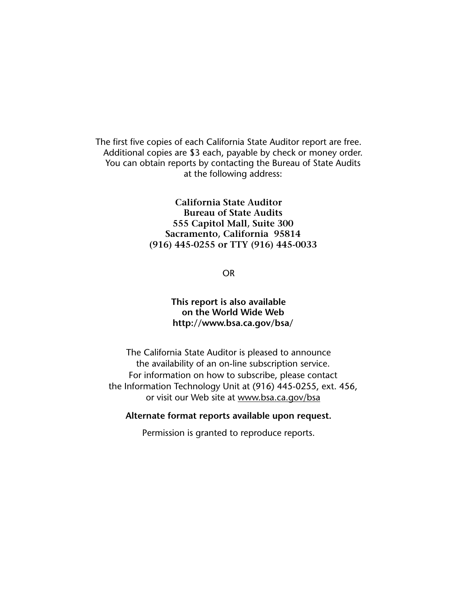The first five copies of each California State Auditor report are free. Additional copies are \$3 each, payable by check or money order. You can obtain reports by contacting the Bureau of State Audits at the following address:

> **California State Auditor Bureau of State Audits 555 Capitol Mall, Suite 300 Sacramento, California 95814 (916) 445-0255 or TTY (916) 445-0033**

> > OR

# **This report is also available on the World Wide Web http://www.bsa.ca.gov/bsa/**

The California State Auditor is pleased to announce the availability of an on-line subscription service. For information on how to subscribe, please contact the Information Technology Unit at (916) 445-0255, ext. 456, or visit our Web site at www.bsa.ca.gov/bsa

## **Alternate format reports available upon request.**

Permission is granted to reproduce reports.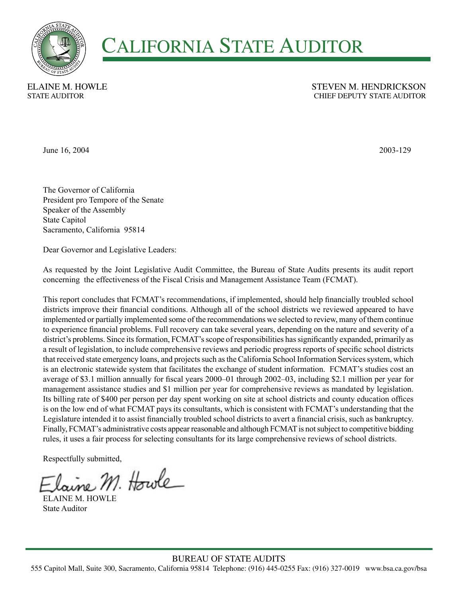

# **CALIFORNIA STATE AUDITOR**

**ELAINE M. HOWLE STATE AUDITOR** 

## **STEVEN M. HENDRICKSON** CHIEF DEPUTY STATE AUDITOR

June 16, 2004

2003-129

The Governor of California President pro Tempore of the Senate Speaker of the Assembly **State Capitol** Sacramento, California 95814

Dear Governor and Legislative Leaders:

As requested by the Joint Legislative Audit Committee, the Bureau of State Audits presents its audit report concerning the effectiveness of the Fiscal Crisis and Management Assistance Team (FCMAT).

This report concludes that FCMAT's recommendations, if implemented, should help financially troubled school districts improve their financial conditions. Although all of the school districts we reviewed appeared to have implemented or partially implemented some of the recommendations we selected to review, many of them continue to experience financial problems. Full recovery can take several years, depending on the nature and severity of a district's problems. Since its formation, FCMAT's scope of responsibilities has significantly expanded, primarily as a result of legislation, to include comprehensive reviews and periodic progress reports of specific school districts that received state emergency loans, and projects such as the California School Information Services system, which is an electronic statewide system that facilitates the exchange of student information. FCMAT's studies cost an average of \$3.1 million annually for fiscal years 2000–01 through 2002–03, including \$2.1 million per year for management assistance studies and \$1 million per year for comprehensive reviews as mandated by legislation. Its billing rate of \$400 per person per day spent working on site at school districts and county education offices is on the low end of what FCMAT pays its consultants, which is consistent with FCMAT's understanding that the Legislature intended it to assist financially troubled school districts to avert a financial crisis, such as bankruptcy. Finally, FCMAT's administrative costs appear reasonable and although FCMAT is not subject to competitive bidding rules, it uses a fair process for selecting consultants for its large comprehensive reviews of school districts.

Respectfully submitted,

Iaine M. Howle

**ELAINE M HOWLE State Auditor**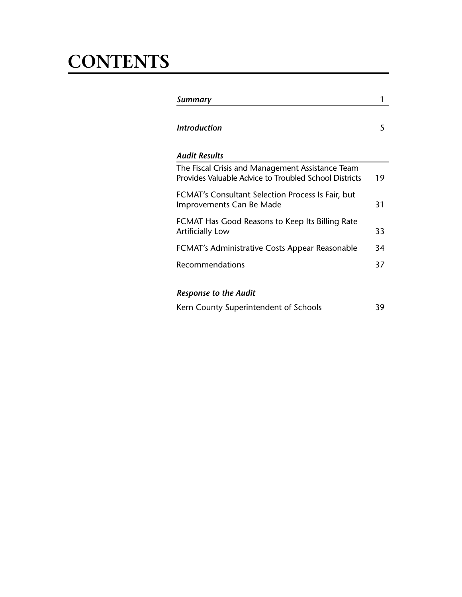# **CONTENTS**

| Summary                                                                                                   |    |
|-----------------------------------------------------------------------------------------------------------|----|
| <b>Introduction</b>                                                                                       | 5  |
| <b>Audit Results</b>                                                                                      |    |
| The Fiscal Crisis and Management Assistance Team<br>Provides Valuable Advice to Troubled School Districts | 19 |
| FCMAT's Consultant Selection Process Is Fair, but<br>Improvements Can Be Made                             | 31 |
| FCMAT Has Good Reasons to Keep Its Billing Rate<br><b>Artificially Low</b>                                | 33 |
| FCMAT's Administrative Costs Appear Reasonable                                                            | 34 |
| Recommendations                                                                                           | 37 |
| <b>Response to the Audit</b>                                                                              |    |
| Kern County Superintendent of Schools                                                                     | 39 |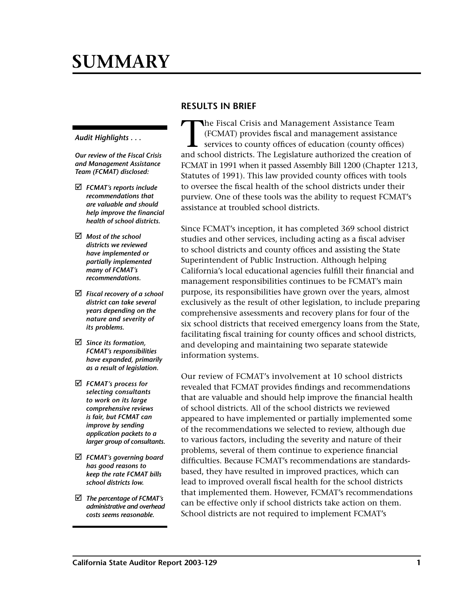# <span id="page-4-0"></span>**SUMMARY**

#### *Audit Highlights . . .*

*Our review of the Fiscal Crisis and Management Assistance Team (FCMAT) disclosed:* 

- þ *FCMAT's reports include recommendations that are valuable and should help improve the financial health of school districts.*
- þ *Most of the school districts we reviewed have implemented or partially implemented many of FCMAT's recommendations.*
- þ *Fiscal recovery of a school district can take several years depending on the nature and severity of its problems.*
- þ *Since its formation, FCMAT's responsibilities have expanded, primarily as a result of legislation.*
- þ *FCMAT's process for selecting consultants to work on its large comprehensive reviews is fair, but FCMAT can improve by sending application packets to a larger group of consultants.*
- þ *FCMAT's governing board has good reasons to keep the rate FCMAT bills school districts low.*
- þ *The percentage of FCMAT's administrative and overhead costs seems reasonable.*

# **RESULTS IN BRIEF**

The Fiscal Crisis and Management Assistance Team<br>(FCMAT) provides fiscal and management assistance<br>services to county offices of education (county office<br>and school districts. The Logislature authorized the creation (FCMAT) provides fiscal and management assistance services to county offices of education (county offices) and school districts. The Legislature authorized the creation of FCMAT in 1991 when it passed Assembly Bill 1200 (Chapter 1213, Statutes of 1991). This law provided county offices with tools to oversee the fiscal health of the school districts under their purview. One of these tools was the ability to request FCMAT's assistance at troubled school districts.

Since FCMAT's inception, it has completed 369 school district studies and other services, including acting as a fiscal adviser to school districts and county offices and assisting the State Superintendent of Public Instruction. Although helping California's local educational agencies fulfill their financial and management responsibilities continues to be FCMAT's main purpose, its responsibilities have grown over the years, almost exclusively as the result of other legislation, to include preparing comprehensive assessments and recovery plans for four of the six school districts that received emergency loans from the State, facilitating fiscal training for county offices and school districts, and developing and maintaining two separate statewide information systems.

Our review of FCMAT's involvement at 10 school districts revealed that FCMAT provides findings and recommendations that are valuable and should help improve the financial health of school districts. All of the school districts we reviewed appeared to have implemented or partially implemented some of the recommendations we selected to review, although due to various factors, including the severity and nature of their problems, several of them continue to experience financial difficulties. Because FCMAT's recommendations are standardsbased, they have resulted in improved practices, which can lead to improved overall fiscal health for the school districts that implemented them. However, FCMAT's recommendations can be effective only if school districts take action on them. School districts are not required to implement FCMAT's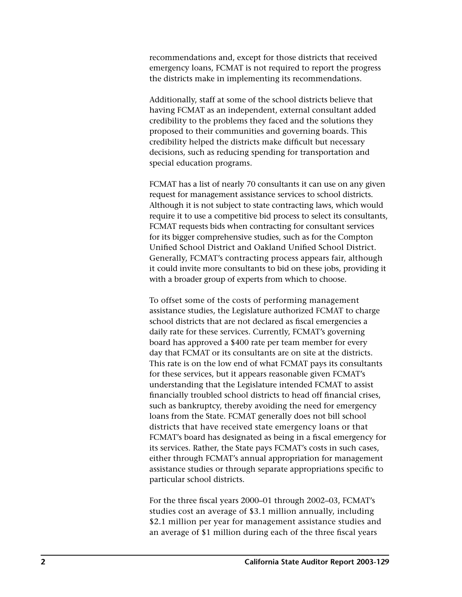recommendations and, except for those districts that received emergency loans, FCMAT is not required to report the progress the districts make in implementing its recommendations.

Additionally, staff at some of the school districts believe that having FCMAT as an independent, external consultant added credibility to the problems they faced and the solutions they proposed to their communities and governing boards. This credibility helped the districts make difficult but necessary decisions, such as reducing spending for transportation and special education programs.

FCMAT has a list of nearly 70 consultants it can use on any given request for management assistance services to school districts. Although it is not subject to state contracting laws, which would require it to use a competitive bid process to select its consultants, FCMAT requests bids when contracting for consultant services for its bigger comprehensive studies, such as for the Compton Unified School District and Oakland Unified School District. Generally, FCMAT's contracting process appears fair, although it could invite more consultants to bid on these jobs, providing it with a broader group of experts from which to choose.

To offset some of the costs of performing management assistance studies, the Legislature authorized FCMAT to charge school districts that are not declared as fiscal emergencies a daily rate for these services. Currently, FCMAT's governing board has approved a \$400 rate per team member for every day that FCMAT or its consultants are on site at the districts. This rate is on the low end of what FCMAT pays its consultants for these services, but it appears reasonable given FCMAT's understanding that the Legislature intended FCMAT to assist financially troubled school districts to head off financial crises, such as bankruptcy, thereby avoiding the need for emergency loans from the State. FCMAT generally does not bill school districts that have received state emergency loans or that FCMAT's board has designated as being in a fiscal emergency for its services. Rather, the State pays FCMAT's costs in such cases, either through FCMAT's annual appropriation for management assistance studies or through separate appropriations specific to particular school districts.

For the three fiscal years 2000–01 through 2002–03, FCMAT's studies cost an average of \$3.1 million annually, including \$2.1 million per year for management assistance studies and an average of \$1 million during each of the three fiscal years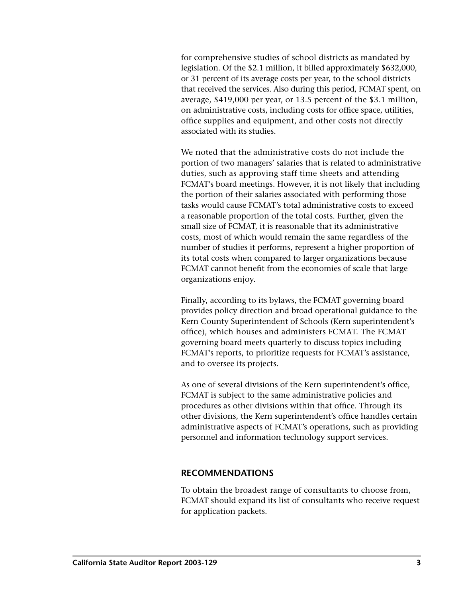for comprehensive studies of school districts as mandated by legislation. Of the \$2.1 million, it billed approximately \$632,000, or 31 percent of its average costs per year, to the school districts that received the services. Also during this period, FCMAT spent, on average, \$419,000 per year, or 13.5 percent of the \$3.1 million, on administrative costs, including costs for office space, utilities, office supplies and equipment, and other costs not directly associated with its studies.

We noted that the administrative costs do not include the portion of two managers' salaries that is related to administrative duties, such as approving staff time sheets and attending FCMAT's board meetings. However, it is not likely that including the portion of their salaries associated with performing those tasks would cause FCMAT's total administrative costs to exceed a reasonable proportion of the total costs. Further, given the small size of FCMAT, it is reasonable that its administrative costs, most of which would remain the same regardless of the number of studies it performs, represent a higher proportion of its total costs when compared to larger organizations because FCMAT cannot benefit from the economies of scale that large organizations enjoy.

Finally, according to its bylaws, the FCMAT governing board provides policy direction and broad operational guidance to the Kern County Superintendent of Schools (Kern superintendent's office), which houses and administers FCMAT. The FCMAT governing board meets quarterly to discuss topics including FCMAT's reports, to prioritize requests for FCMAT's assistance, and to oversee its projects.

As one of several divisions of the Kern superintendent's office, FCMAT is subject to the same administrative policies and procedures as other divisions within that office. Through its other divisions, the Kern superintendent's office handles certain administrative aspects of FCMAT's operations, such as providing personnel and information technology support services.

## **RECOMMENDATIONS**

To obtain the broadest range of consultants to choose from, FCMAT should expand its list of consultants who receive request for application packets.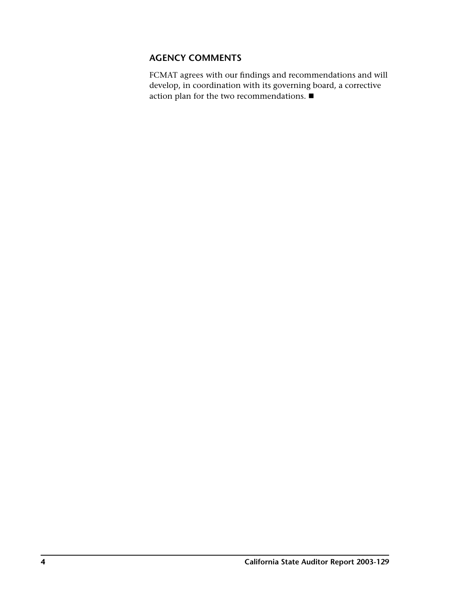# **AGENCY COMMENTS**

FCMAT agrees with our findings and recommendations and will develop, in coordination with its governing board, a corrective action plan for the two recommendations.  $\blacksquare$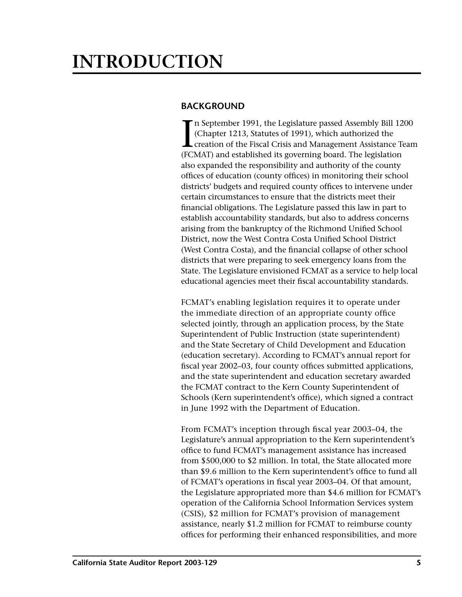# <span id="page-8-0"></span>**INTRODUCTION**

# **BACKGROUND**

I n September 1991, the Legislature passed Assembly Bill 1200 (Chapter 1213, Statutes of 1991), which authorized the creation of the Fiscal Crisis and Management Assistance Team (FCMAT) and established its governing board. The legislation also expanded the responsibility and authority of the county offices of education (county offices) in monitoring their school districts' budgets and required county offices to intervene under certain circumstances to ensure that the districts meet their financial obligations. The Legislature passed this law in part to establish accountability standards, but also to address concerns arising from the bankruptcy of the Richmond Unified School District, now the West Contra Costa Unified School District (West Contra Costa), and the financial collapse of other school districts that were preparing to seek emergency loans from the State. The Legislature envisioned FCMAT as a service to help local educational agencies meet their fiscal accountability standards.

FCMAT's enabling legislation requires it to operate under the immediate direction of an appropriate county office selected jointly, through an application process, by the State Superintendent of Public Instruction (state superintendent) and the State Secretary of Child Development and Education (education secretary). According to FCMAT's annual report for fiscal year 2002–03, four county offices submitted applications, and the state superintendent and education secretary awarded the FCMAT contract to the Kern County Superintendent of Schools (Kern superintendent's office), which signed a contract in June 1992 with the Department of Education.

From FCMAT's inception through fiscal year 2003–04, the Legislature's annual appropriation to the Kern superintendent's office to fund FCMAT's management assistance has increased from \$500,000 to \$2 million. In total, the State allocated more than \$9.6 million to the Kern superintendent's office to fund all of FCMAT's operations in fiscal year 2003–04. Of that amount, the Legislature appropriated more than \$4.6 million for FCMAT's operation of the California School Information Services system (CSIS), \$2 million for FCMAT's provision of management assistance, nearly \$1.2 million for FCMAT to reimburse county offices for performing their enhanced responsibilities, and more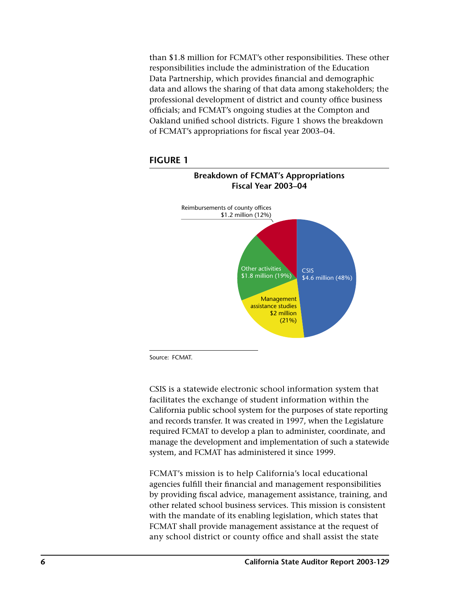than \$1.8 million for FCMAT's other responsibilities. These other responsibilities include the administration of the Education Data Partnership, which provides financial and demographic data and allows the sharing of that data among stakeholders; the professional development of district and county office business officials; and FCMAT's ongoing studies at the Compton and Oakland unified school districts. Figure 1 shows the breakdown of FCMAT's appropriations for fiscal year 2003-04.





Source: FCMAT.

CSIS is a statewide electronic school information system that facilitates the exchange of student information within the California public school system for the purposes of state reporting and records transfer. It was created in 1997, when the Legislature required FCMAT to develop a plan to administer, coordinate, and manage the development and implementation of such a statewide system, and FCMAT has administered it since 1999.

FCMAT's mission is to help California's local educational agencies fulfill their financial and management responsibilities by providing fiscal advice, management assistance, training, and other related school business services. This mission is consistent with the mandate of its enabling legislation, which states that FCMAT shall provide management assistance at the request of any school district or county office and shall assist the state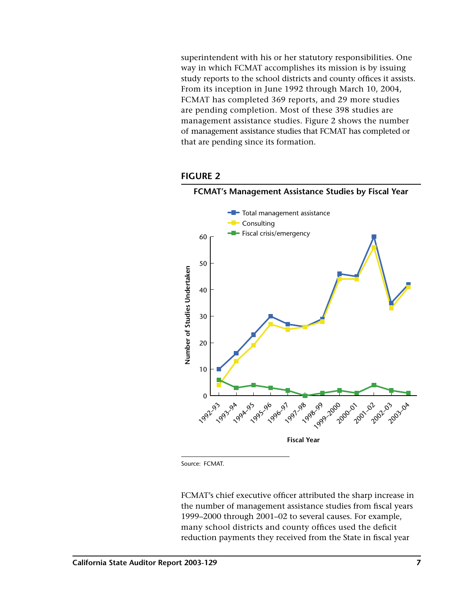superintendent with his or her statutory responsibilities. One way in which FCMAT accomplishes its mission is by issuing study reports to the school districts and county offices it assists. From its inception in June 1992 through March 10, 2004, FCMAT has completed 369 reports, and 29 more studies are pending completion. Most of these 398 studies are management assistance studies. Figure 2 shows the number of management assistance studies that FCMAT has completed or that are pending since its formation.





FCMAT's Management Assistance Studies by Fiscal Year

Source: FCMAT.

FCMAT's chief executive officer attributed the sharp increase in the number of management assistance studies from fiscal years 1999-2000 through 2001-02 to several causes. For example, many school districts and county offices used the deficit reduction payments they received from the State in fiscal year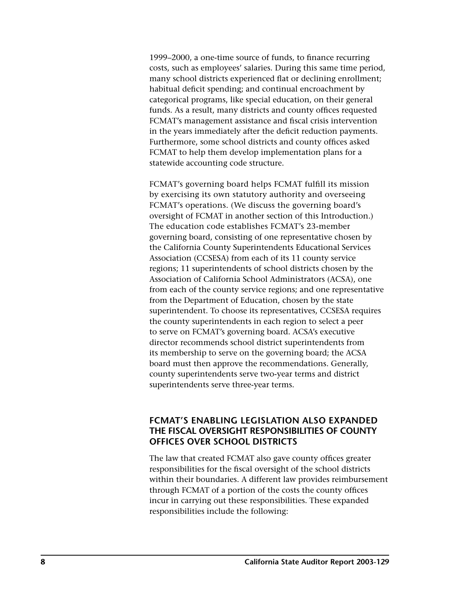1999–2000, a one-time source of funds, to finance recurring costs, such as employees' salaries. During this same time period, many school districts experienced flat or declining enrollment; habitual deficit spending; and continual encroachment by categorical programs, like special education, on their general funds. As a result, many districts and county offices requested FCMAT's management assistance and fiscal crisis intervention in the years immediately after the deficit reduction payments. Furthermore, some school districts and county offices asked FCMAT to help them develop implementation plans for a statewide accounting code structure.

FCMAT's governing board helps FCMAT fulfill its mission by exercising its own statutory authority and overseeing FCMAT's operations. (We discuss the governing board's oversight of FCMAT in another section of this Introduction.) The education code establishes FCMAT's 23-member governing board, consisting of one representative chosen by the California County Superintendents Educational Services Association (CCSESA) from each of its 11 county service regions; 11 superintendents of school districts chosen by the Association of California School Administrators (ACSA), one from each of the county service regions; and one representative from the Department of Education, chosen by the state superintendent. To choose its representatives, CCSESA requires the county superintendents in each region to select a peer to serve on FCMAT's governing board. ACSA's executive director recommends school district superintendents from its membership to serve on the governing board; the ACSA board must then approve the recommendations. Generally, county superintendents serve two-year terms and district superintendents serve three-year terms.

# **FCMAT'S ENABLING LEGISLATION ALSO EXPANDED THE FISCAL OVERSIGHT RESPONSIBILITIES OF COUNTY OFFICES OVER SCHOOL DISTRICTS**

The law that created FCMAT also gave county offices greater responsibilities for the fiscal oversight of the school districts within their boundaries. A different law provides reimbursement through FCMAT of a portion of the costs the county offices incur in carrying out these responsibilities. These expanded responsibilities include the following: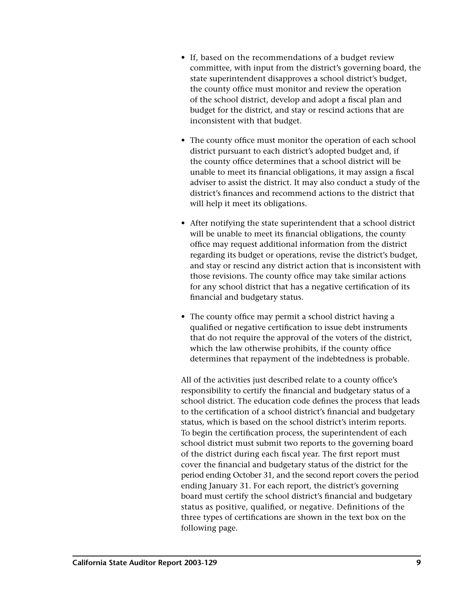- If, based on the recommendations of a budget review committee, with input from the district's governing board, the state superintendent disapproves a school district's budget, the county office must monitor and review the operation of the school district, develop and adopt a fiscal plan and budget for the district, and stay or rescind actions that are inconsistent with that budget.
- The county office must monitor the operation of each school district pursuant to each district's adopted budget and, if the county office determines that a school district will be unable to meet its financial obligations, it may assign a fiscal adviser to assist the district. It may also conduct a study of the district's finances and recommend actions to the district that will help it meet its obligations.
- After notifying the state superintendent that a school district will be unable to meet its financial obligations, the county office may request additional information from the district regarding its budget or operations, revise the district's budget, and stay or rescind any district action that is inconsistent with those revisions. The county office may take similar actions for any school district that has a negative certification of its financial and budgetary status.
- The county office may permit a school district having a qualified or negative certification to issue debt instruments that do not require the approval of the voters of the district, which the law otherwise prohibits, if the county office determines that repayment of the indebtedness is probable.

All of the activities just described relate to a county office's responsibility to certify the financial and budgetary status of a school district. The education code defines the process that leads to the certification of a school district's financial and budgetary status, which is based on the school district's interim reports. To begin the certification process, the superintendent of each school district must submit two reports to the governing board of the district during each fiscal year. The first report must cover the financial and budgetary status of the district for the period ending October 31, and the second report covers the period ending January 31. For each report, the district's governing board must certify the school district's financial and budgetary status as positive, qualified, or negative. Definitions of the three types of certifications are shown in the text box on the following page.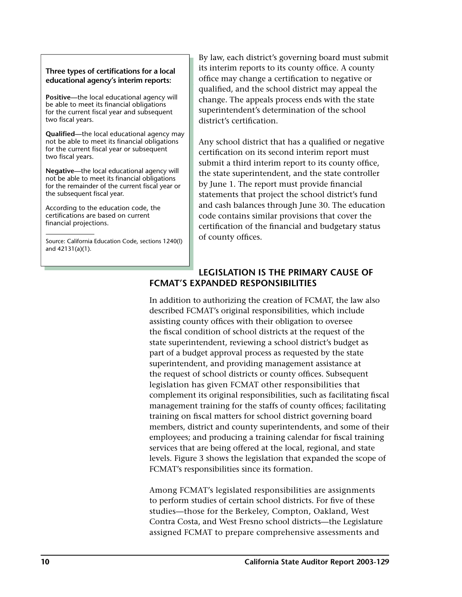#### Three types of certifications for a local **educational agency's interim reports:**

**Positive—**the local educational agency will be able to meet its financial obligations for the current fiscal year and subsequent two fiscal years.

**Qualified**—the local educational agency may not be able to meet its financial obligations for the current fiscal year or subsequent two fiscal years.

**Negative—**the local educational agency will not be able to meet its financial obligations for the remainder of the current fiscal year or the subsequent fiscal year.

According to the education code, the certifications are based on current financial projections.

Source: California Education Code, sections 1240(l) and 42131(a)(1).

By law, each district's governing board must submit its interim reports to its county office. A county office may change a certification to negative or qualified, and the school district may appeal the change. The appeals process ends with the state superintendent's determination of the school district's certification.

Any school district that has a qualified or negative certification on its second interim report must submit a third interim report to its county office, the state superintendent, and the state controller by June 1. The report must provide financial statements that project the school district's fund and cash balances through June 30. The education code contains similar provisions that cover the certification of the financial and budgetary status of county offices.

# **LEGISLATION IS THE PRIMARY CAUSE OF FCMAT'S EXPANDED RESPONSIBILITIES**

In addition to authorizing the creation of FCMAT, the law also described FCMAT's original responsibilities, which include assisting county offices with their obligation to oversee the fiscal condition of school districts at the request of the state superintendent, reviewing a school district's budget as part of a budget approval process as requested by the state superintendent, and providing management assistance at the request of school districts or county offices. Subsequent legislation has given FCMAT other responsibilities that complement its original responsibilities, such as facilitating fiscal management training for the staffs of county offices; facilitating training on fiscal matters for school district governing board members, district and county superintendents, and some of their employees; and producing a training calendar for fiscal training services that are being offered at the local, regional, and state levels. Figure 3 shows the legislation that expanded the scope of FCMAT's responsibilities since its formation.

Among FCMAT's legislated responsibilities are assignments to perform studies of certain school districts. For five of these studies—those for the Berkeley, Compton, Oakland, West Contra Costa, and West Fresno school districts—the Legislature assigned FCMAT to prepare comprehensive assessments and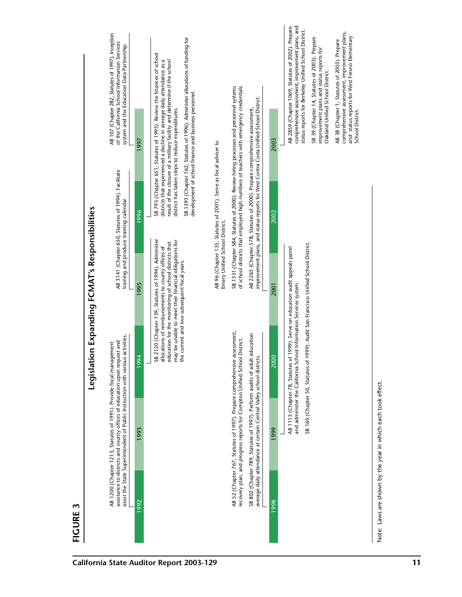| $\mathbf{\hat{z}}$<br>FIGURE |                                                             |                                                                                                                                                                                                                                   |                                              | Legislation Expanding FCMAT's Responsibilities                                                                                                                                                                              |                                                                                                                                                                                  |                                                                                                                                                                                                                                                                                                                                         |                                                                                                                                                                                                                                                                                                                                                                                                                                                 |
|------------------------------|-------------------------------------------------------------|-----------------------------------------------------------------------------------------------------------------------------------------------------------------------------------------------------------------------------------|----------------------------------------------|-----------------------------------------------------------------------------------------------------------------------------------------------------------------------------------------------------------------------------|----------------------------------------------------------------------------------------------------------------------------------------------------------------------------------|-----------------------------------------------------------------------------------------------------------------------------------------------------------------------------------------------------------------------------------------------------------------------------------------------------------------------------------------|-------------------------------------------------------------------------------------------------------------------------------------------------------------------------------------------------------------------------------------------------------------------------------------------------------------------------------------------------------------------------------------------------------------------------------------------------|
|                              |                                                             | assist the State Superintendent of Public Instruction with various activities.<br>assistance to districts and county offices of education upon request and<br>AB 1200 (Chapter 1213, Statutes of 1991). Provide fiscal management |                                              | training and produce training calendar.                                                                                                                                                                                     | AB 3141 (Chapter 650, Statutes of 1994). Facilitate                                                                                                                              |                                                                                                                                                                                                                                                                                                                                         | AB 107 (Chapter 282, Statutes of 1997). Inception<br>of the California School Information Services<br>system and the Education Data Partnership.                                                                                                                                                                                                                                                                                                |
| 1992                         | 1993                                                        | 1994                                                                                                                                                                                                                              |                                              | 1995                                                                                                                                                                                                                        | 1996                                                                                                                                                                             | 1997                                                                                                                                                                                                                                                                                                                                    |                                                                                                                                                                                                                                                                                                                                                                                                                                                 |
|                              |                                                             |                                                                                                                                                                                                                                   | the current and two subsequent fiscal years. | SB 2120 (Chapter 139, Statutes of 1994). Administer<br>may be unable to meet their financial obligations for<br>education for the monitoring of school districts that<br>allocations of reimbursements to county offices of |                                                                                                                                                                                  | SB 793 (Chapter 651, Statutes of 1995). Review the finances of school<br>result of the closure of a military facility and determine if the school<br>districts that experienced a decline in average daily attendance as a<br>development of school finance and business personnel.<br>district has taken steps to reduce expenditures. | SB 1393 (Chapter 162, Statutes of 1996). Administer allocations of funding for                                                                                                                                                                                                                                                                                                                                                                  |
|                              |                                                             |                                                                                                                                                                                                                                   |                                              | Emery Unified School District.                                                                                                                                                                                              | AB 96 (Chapter 135, Statutes of 2001). Serve as fiscal adviser to                                                                                                                |                                                                                                                                                                                                                                                                                                                                         |                                                                                                                                                                                                                                                                                                                                                                                                                                                 |
|                              |                                                             | AB 52 (Chapter 767, Statutes of 1997). Prepare comprehensive assessment,<br>recovery plan, and progress reports for Compton Unified School District.                                                                              |                                              |                                                                                                                                                                                                                             | SB 1331 (Chapter 584, Statutes of 2000). Review hiring processes and personnel systems<br>of school districts that employed high numbers of teachers with emergency credentials. |                                                                                                                                                                                                                                                                                                                                         |                                                                                                                                                                                                                                                                                                                                                                                                                                                 |
|                              |                                                             | SB 802 (Chapter 789, Statutes of 1997). Perform audits of adult education<br>average daily attendance at certain Central Valley school districts.                                                                                 |                                              |                                                                                                                                                                                                                             | improvement plans, and status reports for West Contra Costa Unified School District.<br>AB 2265 (Chapter 578, Statutes of 2000). Prepare comprehensive assessment,               |                                                                                                                                                                                                                                                                                                                                         |                                                                                                                                                                                                                                                                                                                                                                                                                                                 |
| 1998                         | 1999                                                        | 2000                                                                                                                                                                                                                              |                                              | 2001                                                                                                                                                                                                                        | 2002                                                                                                                                                                             | 2003                                                                                                                                                                                                                                                                                                                                    |                                                                                                                                                                                                                                                                                                                                                                                                                                                 |
|                              |                                                             | SB 160 (Chapter 50, Statutes of 1999). Audit San Francisco Unified School District.<br>and administer the California School Information Services system.<br>AB 1115 (Chapter 78, Statutes                                         |                                              | of 1999). Serve on education audit appeals panel                                                                                                                                                                            |                                                                                                                                                                                  | School District.                                                                                                                                                                                                                                                                                                                        | comprehensive assessment, improvement plans, and<br>AB 2859 (Chapter 1069, Statutes of 2002). Prepare<br>status reports for Berkeley Unified School District.<br>comprehensive assessment, improvement plans,<br>and status reports for West Fresno Elementary<br>SB 39 (Chapter 14, Statutes of 2003). Prepare<br>AB 38 (Chapter 1, Statutes of 2003). Prepare<br>improvement plans and status reports for<br>Oakland Unified School District. |
|                              | Note: Laws are shown by the year in which each took effect. |                                                                                                                                                                                                                                   |                                              |                                                                                                                                                                                                                             |                                                                                                                                                                                  |                                                                                                                                                                                                                                                                                                                                         |                                                                                                                                                                                                                                                                                                                                                                                                                                                 |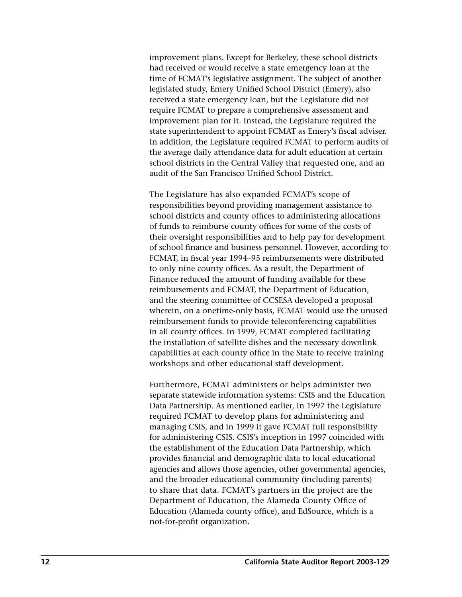improvement plans. Except for Berkeley, these school districts had received or would receive a state emergency loan at the time of FCMAT's legislative assignment. The subject of another legislated study, Emery Unified School District (Emery), also received a state emergency loan, but the Legislature did not require FCMAT to prepare a comprehensive assessment and improvement plan for it. Instead, the Legislature required the state superintendent to appoint FCMAT as Emery's fiscal adviser. In addition, the Legislature required FCMAT to perform audits of the average daily attendance data for adult education at certain school districts in the Central Valley that requested one, and an audit of the San Francisco Unified School District.

The Legislature has also expanded FCMAT's scope of responsibilities beyond providing management assistance to school districts and county offices to administering allocations of funds to reimburse county offices for some of the costs of their oversight responsibilities and to help pay for development of school finance and business personnel. However, according to FCMAT, in fiscal year 1994–95 reimbursements were distributed to only nine county offices. As a result, the Department of Finance reduced the amount of funding available for these reimbursements and FCMAT, the Department of Education, and the steering committee of CCSESA developed a proposal wherein, on a onetime-only basis, FCMAT would use the unused reimbursement funds to provide teleconferencing capabilities in all county offices. In 1999, FCMAT completed facilitating the installation of satellite dishes and the necessary downlink capabilities at each county office in the State to receive training workshops and other educational staff development.

Furthermore, FCMAT administers or helps administer two separate statewide information systems: CSIS and the Education Data Partnership. As mentioned earlier, in 1997 the Legislature required FCMAT to develop plans for administering and managing CSIS, and in 1999 it gave FCMAT full responsibility for administering CSIS. CSIS's inception in 1997 coincided with the establishment of the Education Data Partnership, which provides financial and demographic data to local educational agencies and allows those agencies, other governmental agencies, and the broader educational community (including parents) to share that data. FCMAT's partners in the project are the Department of Education, the Alameda County Office of Education (Alameda county office), and EdSource, which is a not-for-profit organization.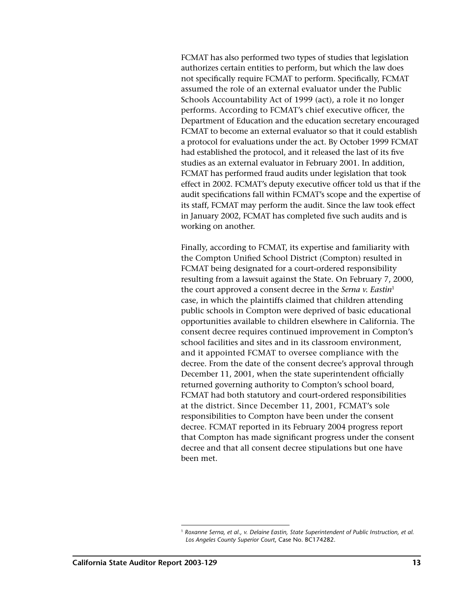FCMAT has also performed two types of studies that legislation authorizes certain entities to perform, but which the law does not specifically require FCMAT to perform. Specifically, FCMAT assumed the role of an external evaluator under the Public Schools Accountability Act of 1999 (act), a role it no longer performs. According to FCMAT's chief executive officer, the Department of Education and the education secretary encouraged FCMAT to become an external evaluator so that it could establish a protocol for evaluations under the act. By October 1999 FCMAT had established the protocol, and it released the last of its five studies as an external evaluator in February 2001. In addition, FCMAT has performed fraud audits under legislation that took effect in 2002. FCMAT's deputy executive officer told us that if the audit specifications fall within FCMAT's scope and the expertise of its staff, FCMAT may perform the audit. Since the law took effect in January 2002, FCMAT has completed five such audits and is working on another.

Finally, according to FCMAT, its expertise and familiarity with the Compton Unified School District (Compton) resulted in FCMAT being designated for a court-ordered responsibility resulting from a lawsuit against the State. On February 7, 2000, the court approved a consent decree in the *Serna v. Eastin*<sup>1</sup> case, in which the plaintiffs claimed that children attending public schools in Compton were deprived of basic educational opportunities available to children elsewhere in California. The consent decree requires continued improvement in Compton's school facilities and sites and in its classroom environment, and it appointed FCMAT to oversee compliance with the decree. From the date of the consent decree's approval through December 11, 2001, when the state superintendent officially returned governing authority to Compton's school board, FCMAT had both statutory and court-ordered responsibilities at the district. Since December 11, 2001, FCMAT's sole responsibilities to Compton have been under the consent decree. FCMAT reported in its February 2004 progress report that Compton has made significant progress under the consent decree and that all consent decree stipulations but one have been met.

<sup>1</sup> *Roxanne Serna, et al., v. Delaine Eastin, State Superintendent of Public Instruction, et al. Los Angeles County Superior Court*, Case No. BC174282.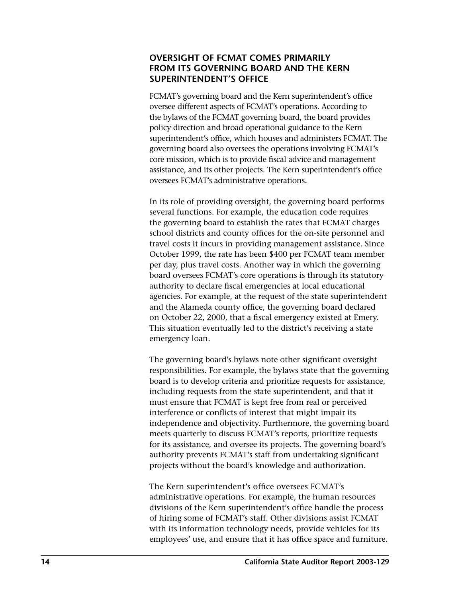# **OVERSIGHT OF FCMAT COMES PRIMARILY FROM ITS GOVERNING BOARD AND THE KERN SUPERINTENDENT'S OFFICE**

FCMAT's governing board and the Kern superintendent's office oversee different aspects of FCMAT's operations. According to the bylaws of the FCMAT governing board, the board provides policy direction and broad operational guidance to the Kern superintendent's office, which houses and administers FCMAT. The governing board also oversees the operations involving FCMAT's core mission, which is to provide fiscal advice and management assistance, and its other projects. The Kern superintendent's office oversees FCMAT's administrative operations.

In its role of providing oversight, the governing board performs several functions. For example, the education code requires the governing board to establish the rates that FCMAT charges school districts and county offices for the on-site personnel and travel costs it incurs in providing management assistance. Since October 1999, the rate has been \$400 per FCMAT team member per day, plus travel costs. Another way in which the governing board oversees FCMAT's core operations is through its statutory authority to declare fiscal emergencies at local educational agencies. For example, at the request of the state superintendent and the Alameda county office, the governing board declared on October 22, 2000, that a fiscal emergency existed at Emery. This situation eventually led to the district's receiving a state emergency loan.

The governing board's bylaws note other significant oversight responsibilities. For example, the bylaws state that the governing board is to develop criteria and prioritize requests for assistance, including requests from the state superintendent, and that it must ensure that FCMAT is kept free from real or perceived interference or conflicts of interest that might impair its independence and objectivity. Furthermore, the governing board meets quarterly to discuss FCMAT's reports, prioritize requests for its assistance, and oversee its projects. The governing board's authority prevents FCMAT's staff from undertaking significant projects without the board's knowledge and authorization.

The Kern superintendent's office oversees FCMAT's administrative operations. For example, the human resources divisions of the Kern superintendent's office handle the process of hiring some of FCMAT's staff. Other divisions assist FCMAT with its information technology needs, provide vehicles for its employees' use, and ensure that it has office space and furniture.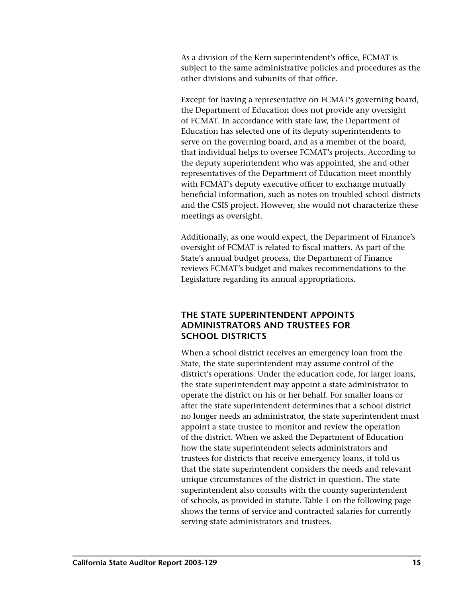As a division of the Kern superintendent's office, FCMAT is subject to the same administrative policies and procedures as the other divisions and subunits of that office.

Except for having a representative on FCMAT's governing board, the Department of Education does not provide any oversight of FCMAT. In accordance with state law, the Department of Education has selected one of its deputy superintendents to serve on the governing board, and as a member of the board, that individual helps to oversee FCMAT's projects. According to the deputy superintendent who was appointed, she and other representatives of the Department of Education meet monthly with FCMAT's deputy executive officer to exchange mutually beneficial information, such as notes on troubled school districts and the CSIS project. However, she would not characterize these meetings as oversight.

Additionally, as one would expect, the Department of Finance's oversight of FCMAT is related to fiscal matters. As part of the State's annual budget process, the Department of Finance reviews FCMAT's budget and makes recommendations to the Legislature regarding its annual appropriations.

# **THE STATE SUPERINTENDENT APPOINTS ADMINISTRATORS AND TRUSTEES FOR SCHOOL DISTRICTS**

When a school district receives an emergency loan from the State, the state superintendent may assume control of the district's operations. Under the education code, for larger loans, the state superintendent may appoint a state administrator to operate the district on his or her behalf. For smaller loans or after the state superintendent determines that a school district no longer needs an administrator, the state superintendent must appoint a state trustee to monitor and review the operation of the district. When we asked the Department of Education how the state superintendent selects administrators and trustees for districts that receive emergency loans, it told us that the state superintendent considers the needs and relevant unique circumstances of the district in question. The state superintendent also consults with the county superintendent of schools, as provided in statute. Table 1 on the following page shows the terms of service and contracted salaries for currently serving state administrators and trustees.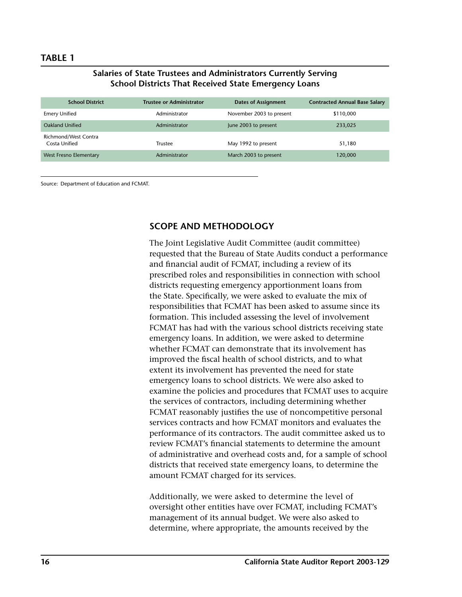#### **TABLE 1**

#### **Salaries of State Trustees and Administrators Currently Serving School Districts That Received State Emergency Loans**

| <b>School District</b>                | <b>Trustee or Administrator</b> | <b>Dates of Assignment</b> | <b>Contracted Annual Base Salary</b> |
|---------------------------------------|---------------------------------|----------------------------|--------------------------------------|
| Emery Unified                         | Administrator                   | November 2003 to present   | \$110,000                            |
| Oakland Unified                       | Administrator                   | June 2003 to present       | 233,025                              |
| Richmond/West Contra<br>Costa Unified | <b>Trustee</b>                  | May 1992 to present        | 51,180                               |
| West Fresno Elementary                | Administrator                   | March 2003 to present      | 120,000                              |

Source: Department of Education and FCMAT.

## **SCOPE AND METHODOLOGY**

The Joint Legislative Audit Committee (audit committee) requested that the Bureau of State Audits conduct a performance and financial audit of FCMAT, including a review of its prescribed roles and responsibilities in connection with school districts requesting emergency apportionment loans from the State. Specifically, we were asked to evaluate the mix of responsibilities that FCMAT has been asked to assume since its formation. This included assessing the level of involvement FCMAT has had with the various school districts receiving state emergency loans. In addition, we were asked to determine whether FCMAT can demonstrate that its involvement has improved the fiscal health of school districts, and to what extent its involvement has prevented the need for state emergency loans to school districts. We were also asked to examine the policies and procedures that FCMAT uses to acquire the services of contractors, including determining whether FCMAT reasonably justifies the use of noncompetitive personal services contracts and how FCMAT monitors and evaluates the performance of its contractors. The audit committee asked us to review FCMAT's financial statements to determine the amount of administrative and overhead costs and, for a sample of school districts that received state emergency loans, to determine the amount FCMAT charged for its services.

Additionally, we were asked to determine the level of oversight other entities have over FCMAT, including FCMAT's management of its annual budget. We were also asked to determine, where appropriate, the amounts received by the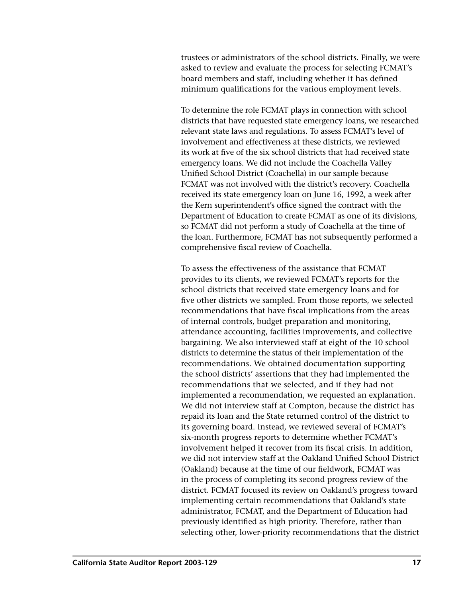trustees or administrators of the school districts. Finally, we were asked to review and evaluate the process for selecting FCMAT's board members and staff, including whether it has defined minimum qualifications for the various employment levels.

To determine the role FCMAT plays in connection with school districts that have requested state emergency loans, we researched relevant state laws and regulations. To assess FCMAT's level of involvement and effectiveness at these districts, we reviewed its work at five of the six school districts that had received state emergency loans. We did not include the Coachella Valley Unified School District (Coachella) in our sample because FCMAT was not involved with the district's recovery. Coachella received its state emergency loan on June 16, 1992, a week after the Kern superintendent's office signed the contract with the Department of Education to create FCMAT as one of its divisions, so FCMAT did not perform a study of Coachella at the time of the loan. Furthermore, FCMAT has not subsequently performed a comprehensive fiscal review of Coachella.

To assess the effectiveness of the assistance that FCMAT provides to its clients, we reviewed FCMAT's reports for the school districts that received state emergency loans and for five other districts we sampled. From those reports, we selected recommendations that have fiscal implications from the areas of internal controls, budget preparation and monitoring, attendance accounting, facilities improvements, and collective bargaining. We also interviewed staff at eight of the 10 school districts to determine the status of their implementation of the recommendations. We obtained documentation supporting the school districts' assertions that they had implemented the recommendations that we selected, and if they had not implemented a recommendation, we requested an explanation. We did not interview staff at Compton, because the district has repaid its loan and the State returned control of the district to its governing board. Instead, we reviewed several of FCMAT's six-month progress reports to determine whether FCMAT's involvement helped it recover from its fiscal crisis. In addition, we did not interview staff at the Oakland Unified School District (Oakland) because at the time of our fieldwork, FCMAT was in the process of completing its second progress review of the district. FCMAT focused its review on Oakland's progress toward implementing certain recommendations that Oakland's state administrator, FCMAT, and the Department of Education had previously identified as high priority. Therefore, rather than selecting other, lower-priority recommendations that the district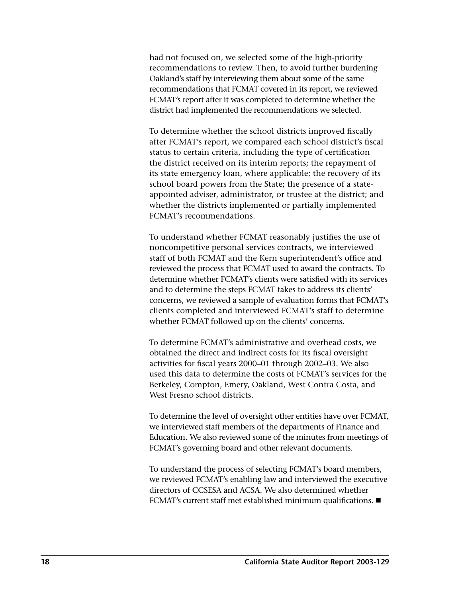had not focused on, we selected some of the high-priority recommendations to review. Then, to avoid further burdening Oakland's staff by interviewing them about some of the same recommendations that FCMAT covered in its report, we reviewed FCMAT's report after it was completed to determine whether the district had implemented the recommendations we selected.

To determine whether the school districts improved fiscally after FCMAT's report, we compared each school district's fiscal status to certain criteria, including the type of certification the district received on its interim reports; the repayment of its state emergency loan, where applicable; the recovery of its school board powers from the State; the presence of a stateappointed adviser, administrator, or trustee at the district; and whether the districts implemented or partially implemented FCMAT's recommendations.

To understand whether FCMAT reasonably justifies the use of noncompetitive personal services contracts, we interviewed staff of both FCMAT and the Kern superintendent's office and reviewed the process that FCMAT used to award the contracts. To determine whether FCMAT's clients were satisfied with its services and to determine the steps FCMAT takes to address its clients' concerns, we reviewed a sample of evaluation forms that FCMAT's clients completed and interviewed FCMAT's staff to determine whether FCMAT followed up on the clients' concerns.

To determine FCMAT's administrative and overhead costs, we obtained the direct and indirect costs for its fiscal oversight activities for fiscal years 2000–01 through 2002–03. We also used this data to determine the costs of FCMAT's services for the Berkeley, Compton, Emery, Oakland, West Contra Costa, and West Fresno school districts.

To determine the level of oversight other entities have over FCMAT, we interviewed staff members of the departments of Finance and Education. We also reviewed some of the minutes from meetings of FCMAT's governing board and other relevant documents.

To understand the process of selecting FCMAT's board members, we reviewed FCMAT's enabling law and interviewed the executive directors of CCSESA and ACSA. We also determined whether FCMAT's current staff met established minimum qualifications.  $\blacksquare$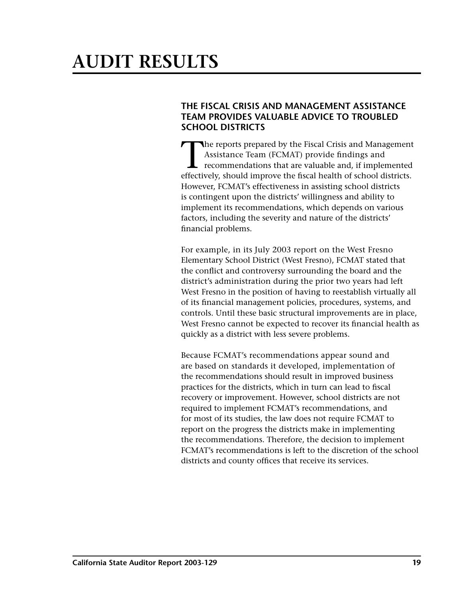# <span id="page-22-0"></span>**AUDIT RESULTS**

# **THE FISCAL CRISIS AND MANAGEMENT ASSISTANCE TEAM PROVIDES VALUABLE ADVICE TO TROUBLED SCHOOL DISTRICTS**

The reports prepared by the Fiscal Crisis and Management<br>Assistance Team (FCMAT) provide findings and<br>recommendations that are valuable and, if implemented<br>offectively, should improve the fiscal bealth of school districts. Assistance Team (FCMAT) provide findings and recommendations that are valuable and, if implemented effectively, should improve the fiscal health of school districts. However, FCMAT's effectiveness in assisting school districts is contingent upon the districts' willingness and ability to implement its recommendations, which depends on various factors, including the severity and nature of the districts' financial problems.

For example, in its July 2003 report on the West Fresno Elementary School District (West Fresno), FCMAT stated that the conflict and controversy surrounding the board and the district's administration during the prior two years had left West Fresno in the position of having to reestablish virtually all of its financial management policies, procedures, systems, and controls. Until these basic structural improvements are in place, West Fresno cannot be expected to recover its financial health as quickly as a district with less severe problems.

Because FCMAT's recommendations appear sound and are based on standards it developed, implementation of the recommendations should result in improved business practices for the districts, which in turn can lead to fiscal recovery or improvement. However, school districts are not required to implement FCMAT's recommendations, and for most of its studies, the law does not require FCMAT to report on the progress the districts make in implementing the recommendations. Therefore, the decision to implement FCMAT's recommendations is left to the discretion of the school districts and county offices that receive its services.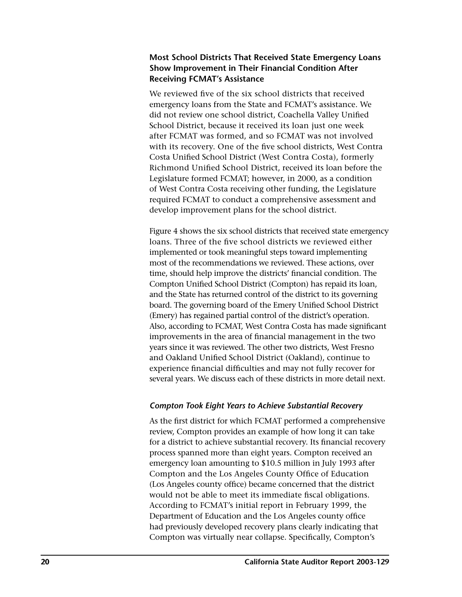# **Most School Districts That Received State Emergency Loans Show Improvement in Their Financial Condition After Receiving FCMAT's Assistance**

We reviewed five of the six school districts that received emergency loans from the State and FCMAT's assistance. We did not review one school district, Coachella Valley Unified School District, because it received its loan just one week after FCMAT was formed, and so FCMAT was not involved with its recovery. One of the five school districts, West Contra Costa Unified School District (West Contra Costa), formerly Richmond Unified School District, received its loan before the Legislature formed FCMAT; however, in 2000, as a condition of West Contra Costa receiving other funding, the Legislature required FCMAT to conduct a comprehensive assessment and develop improvement plans for the school district.

Figure 4 shows the six school districts that received state emergency loans. Three of the five school districts we reviewed either implemented or took meaningful steps toward implementing most of the recommendations we reviewed. These actions, over time, should help improve the districts' financial condition. The Compton Unified School District (Compton) has repaid its loan, and the State has returned control of the district to its governing board. The governing board of the Emery Unified School District (Emery) has regained partial control of the district's operation. Also, according to FCMAT, West Contra Costa has made significant improvements in the area of financial management in the two years since it was reviewed. The other two districts, West Fresno and Oakland Unified School District (Oakland), continue to experience financial difficulties and may not fully recover for several years. We discuss each of these districts in more detail next.

# *Compton Took Eight Years to Achieve Substantial Recovery*

As the first district for which FCMAT performed a comprehensive review, Compton provides an example of how long it can take for a district to achieve substantial recovery. Its financial recovery process spanned more than eight years. Compton received an emergency loan amounting to \$10.5 million in July 1993 after Compton and the Los Angeles County Office of Education (Los Angeles county office) became concerned that the district would not be able to meet its immediate fiscal obligations. According to FCMAT's initial report in February 1999, the Department of Education and the Los Angeles county office had previously developed recovery plans clearly indicating that Compton was virtually near collapse. Specifically, Compton's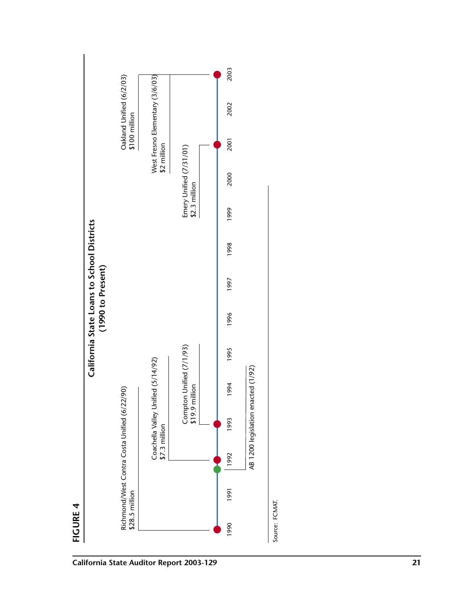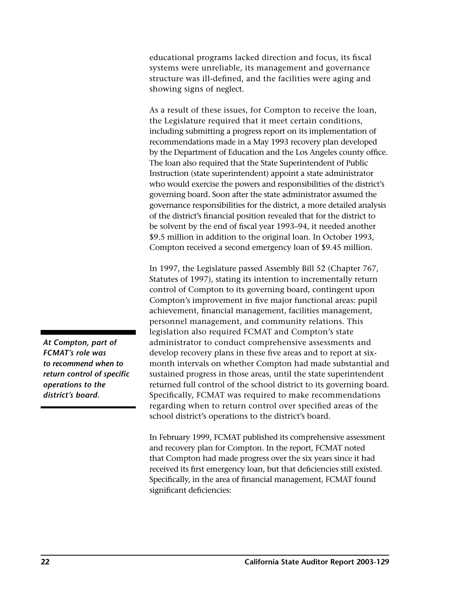educational programs lacked direction and focus, its fiscal systems were unreliable, its management and governance structure was ill-defined, and the facilities were aging and showing signs of neglect.

As a result of these issues, for Compton to receive the loan, the Legislature required that it meet certain conditions, including submitting a progress report on its implementation of recommendations made in a May 1993 recovery plan developed by the Department of Education and the Los Angeles county office. The loan also required that the State Superintendent of Public Instruction (state superintendent) appoint a state administrator who would exercise the powers and responsibilities of the district's governing board. Soon after the state administrator assumed the governance responsibilities for the district, a more detailed analysis of the district's financial position revealed that for the district to be solvent by the end of fiscal year 1993–94, it needed another \$9.5 million in addition to the original loan. In October 1993, Compton received a second emergency loan of \$9.45 million.

In 1997, the Legislature passed Assembly Bill 52 (Chapter 767, Statutes of 1997), stating its intention to incrementally return control of Compton to its governing board, contingent upon Compton's improvement in five major functional areas: pupil achievement, financial management, facilities management, personnel management, and community relations. This legislation also required FCMAT and Compton's state administrator to conduct comprehensive assessments and develop recovery plans in these five areas and to report at sixmonth intervals on whether Compton had made substantial and sustained progress in those areas, until the state superintendent returned full control of the school district to its governing board. Specifically, FCMAT was required to make recommendations regarding when to return control over specified areas of the school district's operations to the district's board.

In February 1999, FCMAT published its comprehensive assessment and recovery plan for Compton. In the report, FCMAT noted that Compton had made progress over the six years since it had received its first emergency loan, but that deficiencies still existed. Specifically, in the area of financial management, FCMAT found significant deficiencies:

*At Compton, part of FCMAT's role was to recommend when to return control of specific operations to the district's board.*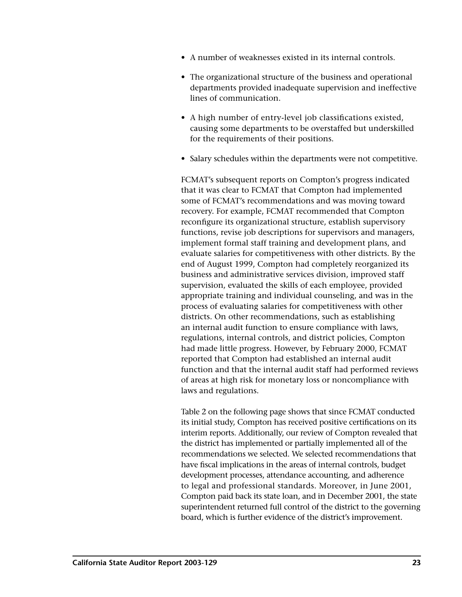- A number of weaknesses existed in its internal controls.
- The organizational structure of the business and operational departments provided inadequate supervision and ineffective lines of communication.
- A high number of entry-level job classifications existed, causing some departments to be overstaffed but underskilled for the requirements of their positions.
- Salary schedules within the departments were not competitive.

FCMAT's subsequent reports on Compton's progress indicated that it was clear to FCMAT that Compton had implemented some of FCMAT's recommendations and was moving toward recovery. For example, FCMAT recommended that Compton reconfigure its organizational structure, establish supervisory functions, revise job descriptions for supervisors and managers, implement formal staff training and development plans, and evaluate salaries for competitiveness with other districts. By the end of August 1999, Compton had completely reorganized its business and administrative services division, improved staff supervision, evaluated the skills of each employee, provided appropriate training and individual counseling, and was in the process of evaluating salaries for competitiveness with other districts. On other recommendations, such as establishing an internal audit function to ensure compliance with laws, regulations, internal controls, and district policies, Compton had made little progress. However, by February 2000, FCMAT reported that Compton had established an internal audit function and that the internal audit staff had performed reviews of areas at high risk for monetary loss or noncompliance with laws and regulations.

Table 2 on the following page shows that since FCMAT conducted its initial study, Compton has received positive certifications on its interim reports. Additionally, our review of Compton revealed that the district has implemented or partially implemented all of the recommendations we selected. We selected recommendations that have fiscal implications in the areas of internal controls, budget development processes, attendance accounting, and adherence to legal and professional standards. Moreover, in June 2001, Compton paid back its state loan, and in December 2001, the state superintendent returned full control of the district to the governing board, which is further evidence of the district's improvement.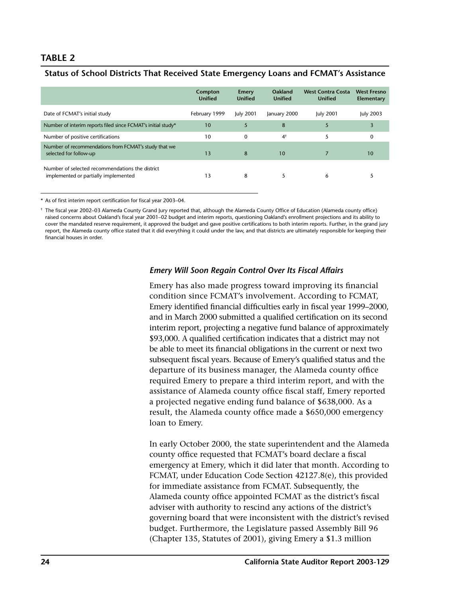## **TABLE 2**

#### **Status of School Districts That Received State Emergency Loans and FCMAT's Assistance**

|                                                                                         | Compton<br><b>Unified</b> | <b>Emery</b><br><b>Unified</b> | Oakland<br><b>Unified</b> | <b>West Contra Costa</b><br><b>Unified</b> | <b>West Fresno</b><br>Elementary |
|-----------------------------------------------------------------------------------------|---------------------------|--------------------------------|---------------------------|--------------------------------------------|----------------------------------|
| Date of FCMAT's initial study                                                           | February 1999             | <b>July 2001</b>               | January 2000              | <b>July 2001</b>                           | <b>July 2003</b>                 |
| Number of interim reports filed since FCMAT's initial study*                            | 10                        | 5                              | 8                         | 5                                          |                                  |
| Number of positive certifications                                                       | 10                        | $\Omega$                       | $4^{\dagger}$             | 5                                          | 0                                |
| Number of recommendations from FCMAT's study that we<br>selected for follow-up          | 13                        | 8                              | 10                        |                                            | 10                               |
| Number of selected recommendations the district<br>implemented or partially implemented | 13                        | 8                              |                           | 6                                          |                                  |

\* As of first interim report certification for fiscal year 2003–04.

† The fiscal year 2002–03 Alameda County Grand Jury reported that, although the Alameda County Office of Education (Alameda county office) raised concerns about Oakland's fiscal year 2001–02 budget and interim reports, questioning Oakland's enrollment projections and its ability to cover the mandated reserve requirement, it approved the budget and gave positive certifications to both interim reports. Further, in the grand jury report, the Alameda county office stated that it did everything it could under the law, and that districts are ultimately responsible for keeping their financial houses in order.

#### *Emery Will Soon Regain Control Over Its Fiscal Affairs*

Emery has also made progress toward improving its financial condition since FCMAT's involvement. According to FCMAT, Emery identified financial difficulties early in fiscal year 1999–2000, and in March 2000 submitted a qualified certification on its second interim report, projecting a negative fund balance of approximately \$93,000. A qualified certification indicates that a district may not be able to meet its financial obligations in the current or next two subsequent fiscal years. Because of Emery's qualified status and the departure of its business manager, the Alameda county office required Emery to prepare a third interim report, and with the assistance of Alameda county office fiscal staff, Emery reported a projected negative ending fund balance of \$638,000. As a result, the Alameda county office made a \$650,000 emergency loan to Emery.

In early October 2000, the state superintendent and the Alameda county office requested that FCMAT's board declare a fiscal emergency at Emery, which it did later that month. According to FCMAT, under Education Code Section 42127.8(e), this provided for immediate assistance from FCMAT. Subsequently, the Alameda county office appointed FCMAT as the district's fiscal adviser with authority to rescind any actions of the district's governing board that were inconsistent with the district's revised budget. Furthermore, the Legislature passed Assembly Bill 96 (Chapter 135, Statutes of 2001), giving Emery a \$1.3 million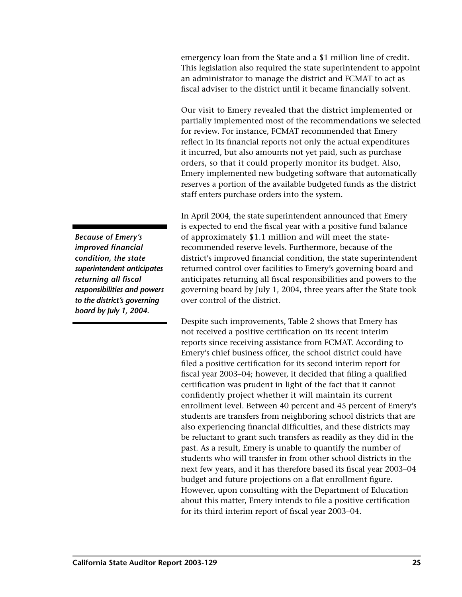emergency loan from the State and a \$1 million line of credit. This legislation also required the state superintendent to appoint an administrator to manage the district and FCMAT to act as fiscal adviser to the district until it became financially solvent.

Our visit to Emery revealed that the district implemented or partially implemented most of the recommendations we selected for review. For instance, FCMAT recommended that Emery reflect in its financial reports not only the actual expenditures it incurred, but also amounts not yet paid, such as purchase orders, so that it could properly monitor its budget. Also, Emery implemented new budgeting software that automatically reserves a portion of the available budgeted funds as the district staff enters purchase orders into the system.

In April 2004, the state superintendent announced that Emery is expected to end the fiscal year with a positive fund balance of approximately \$1.1 million and will meet the staterecommended reserve levels. Furthermore, because of the district's improved financial condition, the state superintendent returned control over facilities to Emery's governing board and anticipates returning all fiscal responsibilities and powers to the governing board by July 1, 2004, three years after the State took over control of the district.

Despite such improvements, Table 2 shows that Emery has not received a positive certification on its recent interim reports since receiving assistance from FCMAT. According to Emery's chief business officer, the school district could have filed a positive certification for its second interim report for fiscal year 2003–04; however, it decided that filing a qualified certification was prudent in light of the fact that it cannot confidently project whether it will maintain its current enrollment level. Between 40 percent and 45 percent of Emery's students are transfers from neighboring school districts that are also experiencing financial difficulties, and these districts may be reluctant to grant such transfers as readily as they did in the past. As a result, Emery is unable to quantify the number of students who will transfer in from other school districts in the next few years, and it has therefore based its fiscal year 2003–04 budget and future projections on a flat enrollment figure. However, upon consulting with the Department of Education about this matter, Emery intends to file a positive certification for its third interim report of fiscal year 2003–04.

*Because of Emery's improved financial condition, the state superintendent anticipates returning all fiscal responsibilities and powers to the district's governing board by July 1, 2004.*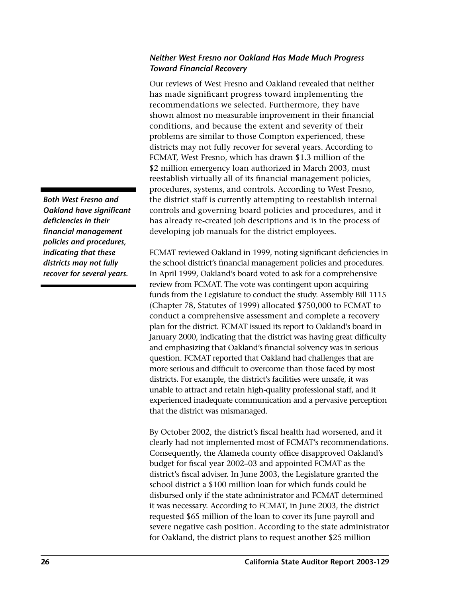# *Neither West Fresno nor Oakland Has Made Much Progress Toward Financial Recovery*

Our reviews of West Fresno and Oakland revealed that neither has made significant progress toward implementing the recommendations we selected. Furthermore, they have shown almost no measurable improvement in their financial conditions, and because the extent and severity of their problems are similar to those Compton experienced, these districts may not fully recover for several years. According to FCMAT, West Fresno, which has drawn \$1.3 million of the \$2 million emergency loan authorized in March 2003, must reestablish virtually all of its financial management policies, procedures, systems, and controls. According to West Fresno, the district staff is currently attempting to reestablish internal controls and governing board policies and procedures, and it has already re-created job descriptions and is in the process of developing job manuals for the district employees.

FCMAT reviewed Oakland in 1999, noting significant deficiencies in the school district's financial management policies and procedures. In April 1999, Oakland's board voted to ask for a comprehensive review from FCMAT. The vote was contingent upon acquiring funds from the Legislature to conduct the study. Assembly Bill 1115 (Chapter 78, Statutes of 1999) allocated \$750,000 to FCMAT to conduct a comprehensive assessment and complete a recovery plan for the district. FCMAT issued its report to Oakland's board in January 2000, indicating that the district was having great difficulty and emphasizing that Oakland's financial solvency was in serious question. FCMAT reported that Oakland had challenges that are more serious and difficult to overcome than those faced by most districts. For example, the district's facilities were unsafe, it was unable to attract and retain high-quality professional staff, and it experienced inadequate communication and a pervasive perception that the district was mismanaged.

By October 2002, the district's fiscal health had worsened, and it clearly had not implemented most of FCMAT's recommendations. Consequently, the Alameda county office disapproved Oakland's budget for fiscal year 2002–03 and appointed FCMAT as the district's fiscal adviser. In June 2003, the Legislature granted the school district a \$100 million loan for which funds could be disbursed only if the state administrator and FCMAT determined it was necessary. According to FCMAT, in June 2003, the district requested \$65 million of the loan to cover its June payroll and severe negative cash position. According to the state administrator for Oakland, the district plans to request another \$25 million

*Both West Fresno and Oakland have significant deficiencies in their financial management policies and procedures, indicating that these districts may not fully recover for several years.*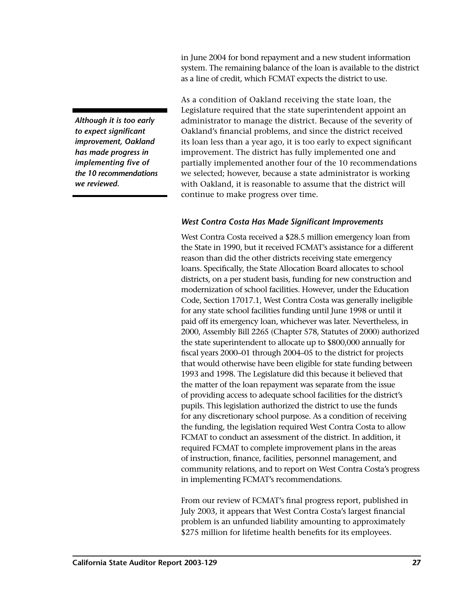in June 2004 for bond repayment and a new student information system. The remaining balance of the loan is available to the district as a line of credit, which FCMAT expects the district to use.

*Although it is too early to expect significant improvement, Oakland has made progress in implementing five of the 10 recommendations we reviewed.* 

As a condition of Oakland receiving the state loan, the Legislature required that the state superintendent appoint an administrator to manage the district. Because of the severity of Oakland's financial problems, and since the district received its loan less than a year ago, it is too early to expect significant improvement. The district has fully implemented one and partially implemented another four of the 10 recommendations we selected; however, because a state administrator is working with Oakland, it is reasonable to assume that the district will continue to make progress over time.

# *West Contra Costa Has Made Significant Improvements*

West Contra Costa received a \$28.5 million emergency loan from the State in 1990, but it received FCMAT's assistance for a different reason than did the other districts receiving state emergency loans. Specifically, the State Allocation Board allocates to school districts, on a per student basis, funding for new construction and modernization of school facilities. However, under the Education Code, Section 17017.1, West Contra Costa was generally ineligible for any state school facilities funding until June 1998 or until it paid off its emergency loan, whichever was later. Nevertheless, in 2000, Assembly Bill 2265 (Chapter 578, Statutes of 2000) authorized the state superintendent to allocate up to \$800,000 annually for fiscal years 2000–01 through 2004–05 to the district for projects that would otherwise have been eligible for state funding between 1993 and 1998. The Legislature did this because it believed that the matter of the loan repayment was separate from the issue of providing access to adequate school facilities for the district's pupils. This legislation authorized the district to use the funds for any discretionary school purpose. As a condition of receiving the funding, the legislation required West Contra Costa to allow FCMAT to conduct an assessment of the district. In addition, it required FCMAT to complete improvement plans in the areas of instruction, finance, facilities, personnel management, and community relations, and to report on West Contra Costa's progress in implementing FCMAT's recommendations.

From our review of FCMAT's final progress report, published in July 2003, it appears that West Contra Costa's largest financial problem is an unfunded liability amounting to approximately \$275 million for lifetime health benefits for its employees.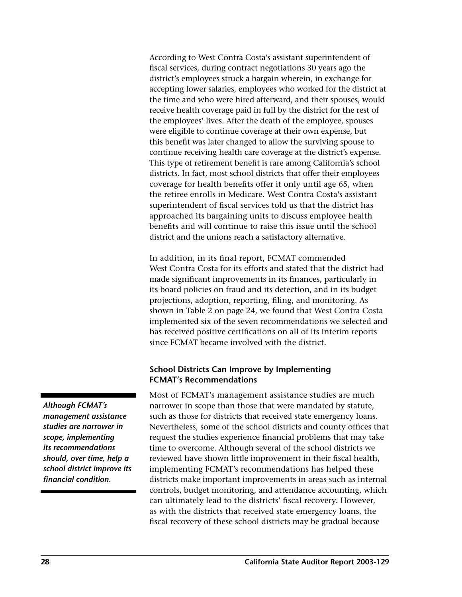According to West Contra Costa's assistant superintendent of fiscal services, during contract negotiations 30 years ago the district's employees struck a bargain wherein, in exchange for accepting lower salaries, employees who worked for the district at the time and who were hired afterward, and their spouses, would receive health coverage paid in full by the district for the rest of the employees' lives. After the death of the employee, spouses were eligible to continue coverage at their own expense, but this benefit was later changed to allow the surviving spouse to continue receiving health care coverage at the district's expense. This type of retirement benefit is rare among California's school districts. In fact, most school districts that offer their employees coverage for health benefits offer it only until age 65, when the retiree enrolls in Medicare. West Contra Costa's assistant superintendent of fiscal services told us that the district has approached its bargaining units to discuss employee health benefits and will continue to raise this issue until the school district and the unions reach a satisfactory alternative.

In addition, in its final report, FCMAT commended West Contra Costa for its efforts and stated that the district had made significant improvements in its finances, particularly in its board policies on fraud and its detection, and in its budget projections, adoption, reporting, filing, and monitoring. As shown in Table 2 on page 24, we found that West Contra Costa implemented six of the seven recommendations we selected and has received positive certifications on all of its interim reports since FCMAT became involved with the district.

## **School Districts Can Improve by Implementing FCMAT's Recommendations**

Most of FCMAT's management assistance studies are much narrower in scope than those that were mandated by statute, such as those for districts that received state emergency loans. Nevertheless, some of the school districts and county offices that request the studies experience financial problems that may take time to overcome. Although several of the school districts we reviewed have shown little improvement in their fiscal health, implementing FCMAT's recommendations has helped these districts make important improvements in areas such as internal controls, budget monitoring, and attendance accounting, which can ultimately lead to the districts' fiscal recovery. However, as with the districts that received state emergency loans, the fiscal recovery of these school districts may be gradual because

*Although FCMAT's management assistance studies are narrower in scope, implementing its recommendations should, over time, help a school district improve its financial condition.*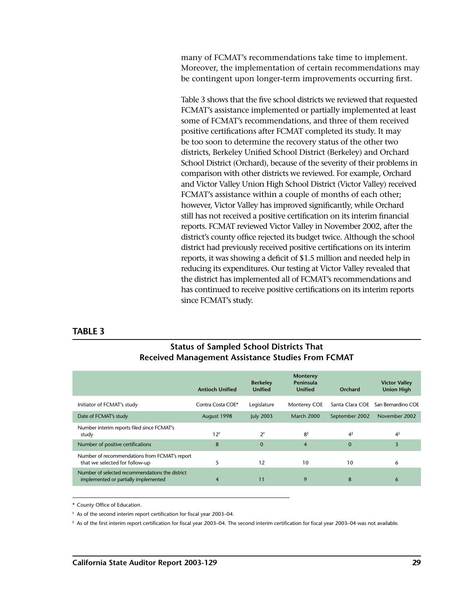many of FCMAT's recommendations take time to implement. Moreover, the implementation of certain recommendations may be contingent upon longer-term improvements occurring first.

Table 3 shows that the five school districts we reviewed that requested FCMAT's assistance implemented or partially implemented at least some of FCMAT's recommendations, and three of them received positive certifications after FCMAT completed its study. It may be too soon to determine the recovery status of the other two districts, Berkeley Unified School District (Berkeley) and Orchard School District (Orchard), because of the severity of their problems in comparison with other districts we reviewed. For example, Orchard and Victor Valley Union High School District (Victor Valley) received FCMAT's assistance within a couple of months of each other; however, Victor Valley has improved significantly, while Orchard still has not received a positive certification on its interim financial reports. FCMAT reviewed Victor Valley in November 2002, after the district's county office rejected its budget twice. Although the school district had previously received positive certifications on its interim reports, it was showing a deficit of \$1.5 million and needed help in reducing its expenditures. Our testing at Victor Valley revealed that the district has implemented all of FCMAT's recommendations and has continued to receive positive certifications on its interim reports since FCMAT's study.

#### **TABLE 3**

## **Status of Sampled School Districts That Received Management Assistance Studies From FCMAT**

|                                                                                         | <b>Antioch Unified</b> | <b>Berkeley</b><br><b>Unified</b> | <b>Monterey</b><br>Peninsula<br><b>Unified</b> | Orchard         | <b>Victor Valley</b><br><b>Union High</b> |
|-----------------------------------------------------------------------------------------|------------------------|-----------------------------------|------------------------------------------------|-----------------|-------------------------------------------|
| Initiator of FCMAT's study                                                              | Contra Costa COE*      | Legislature                       | Monterey COE                                   | Santa Clara COE | San Bernardino COE                        |
| Date of FCMAT's study                                                                   | August 1998            | <b>July 2003</b>                  | March 2000                                     | September 2002  | November 2002                             |
| Number interim reports filed since FCMAT's<br>study                                     | $12^{\dagger}$         | $2^{\dagger}$                     | $8\ddag$                                       | 4 <sup>‡</sup>  | $4\ddag$                                  |
| Number of positive certifications                                                       | 8                      | $\mathbf 0$                       | $\overline{4}$                                 | $\mathbf{0}$    | 3                                         |
| Number of recommendations from FCMAT's report<br>that we selected for follow-up         | 5                      | 12                                | 10                                             | 10              | 6                                         |
| Number of selected recommendations the district<br>implemented or partially implemented | 4                      | 11                                | 9                                              | 8               | 6                                         |

\* County Office of Education.

† As of the second interim report certification for fiscal year 2003–04.

‡ As of the first interim report certification for fiscal year 2003–04. The second interim certification for fiscal year 2003–04 was not available.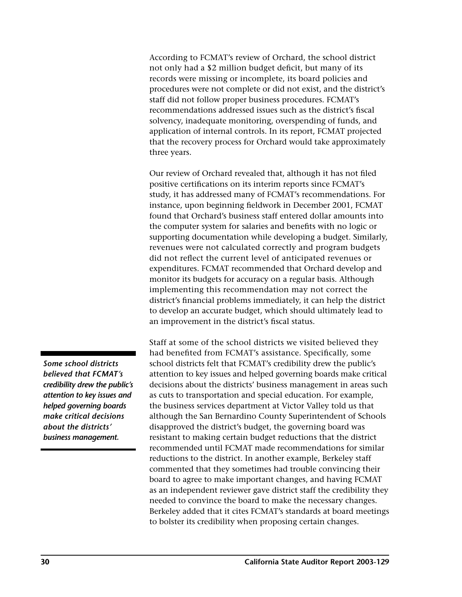According to FCMAT's review of Orchard, the school district not only had a \$2 million budget deficit, but many of its records were missing or incomplete, its board policies and procedures were not complete or did not exist, and the district's staff did not follow proper business procedures. FCMAT's recommendations addressed issues such as the district's fiscal solvency, inadequate monitoring, overspending of funds, and application of internal controls. In its report, FCMAT projected that the recovery process for Orchard would take approximately three years.

Our review of Orchard revealed that, although it has not filed positive certifications on its interim reports since FCMAT's study, it has addressed many of FCMAT's recommendations. For instance, upon beginning fieldwork in December 2001, FCMAT found that Orchard's business staff entered dollar amounts into the computer system for salaries and benefits with no logic or supporting documentation while developing a budget. Similarly, revenues were not calculated correctly and program budgets did not reflect the current level of anticipated revenues or expenditures. FCMAT recommended that Orchard develop and monitor its budgets for accuracy on a regular basis. Although implementing this recommendation may not correct the district's financial problems immediately, it can help the district to develop an accurate budget, which should ultimately lead to an improvement in the district's fiscal status.

Staff at some of the school districts we visited believed they had benefited from FCMAT's assistance. Specifically, some school districts felt that FCMAT's credibility drew the public's attention to key issues and helped governing boards make critical decisions about the districts' business management in areas such as cuts to transportation and special education. For example, the business services department at Victor Valley told us that although the San Bernardino County Superintendent of Schools disapproved the district's budget, the governing board was resistant to making certain budget reductions that the district recommended until FCMAT made recommendations for similar reductions to the district. In another example, Berkeley staff commented that they sometimes had trouble convincing their board to agree to make important changes, and having FCMAT as an independent reviewer gave district staff the credibility they needed to convince the board to make the necessary changes. Berkeley added that it cites FCMAT's standards at board meetings to bolster its credibility when proposing certain changes.

*Some school districts believed that FCMAT's credibility drew the public's attention to key issues and helped governing boards make critical decisions about the districts' business management.*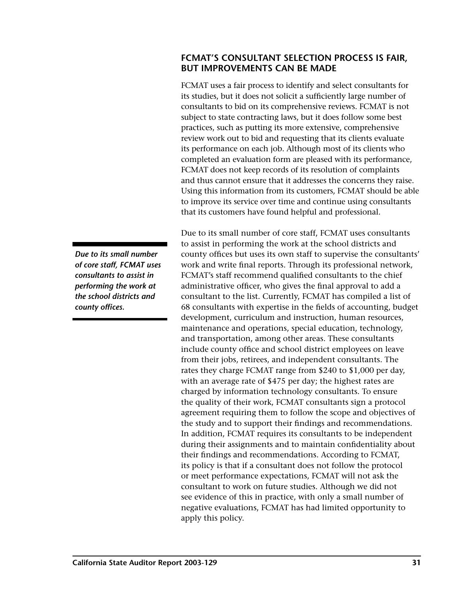# <span id="page-34-0"></span>**FCMAT'S CONSULTANT SELECTION PROCESS IS FAIR, BUT IMPROVEMENTS CAN BE MADE**

FCMAT uses a fair process to identify and select consultants for its studies, but it does not solicit a sufficiently large number of consultants to bid on its comprehensive reviews. FCMAT is not subject to state contracting laws, but it does follow some best practices, such as putting its more extensive, comprehensive review work out to bid and requesting that its clients evaluate its performance on each job. Although most of its clients who completed an evaluation form are pleased with its performance, FCMAT does not keep records of its resolution of complaints and thus cannot ensure that it addresses the concerns they raise. Using this information from its customers, FCMAT should be able to improve its service over time and continue using consultants that its customers have found helpful and professional.

Due to its small number of core staff, FCMAT uses consultants to assist in performing the work at the school districts and county offices but uses its own staff to supervise the consultants' work and write final reports. Through its professional network, FCMAT's staff recommend qualified consultants to the chief administrative officer, who gives the final approval to add a consultant to the list. Currently, FCMAT has compiled a list of 68 consultants with expertise in the fields of accounting, budget development, curriculum and instruction, human resources, maintenance and operations, special education, technology, and transportation, among other areas. These consultants include county office and school district employees on leave from their jobs, retirees, and independent consultants. The rates they charge FCMAT range from \$240 to \$1,000 per day, with an average rate of \$475 per day; the highest rates are charged by information technology consultants. To ensure the quality of their work, FCMAT consultants sign a protocol agreement requiring them to follow the scope and objectives of the study and to support their findings and recommendations. In addition, FCMAT requires its consultants to be independent during their assignments and to maintain confidentiality about their findings and recommendations. According to FCMAT, its policy is that if a consultant does not follow the protocol or meet performance expectations, FCMAT will not ask the consultant to work on future studies. Although we did not see evidence of this in practice, with only a small number of negative evaluations, FCMAT has had limited opportunity to apply this policy.

*Due to its small number of core staff, FCMAT uses consultants to assist in performing the work at the school districts and county offices.*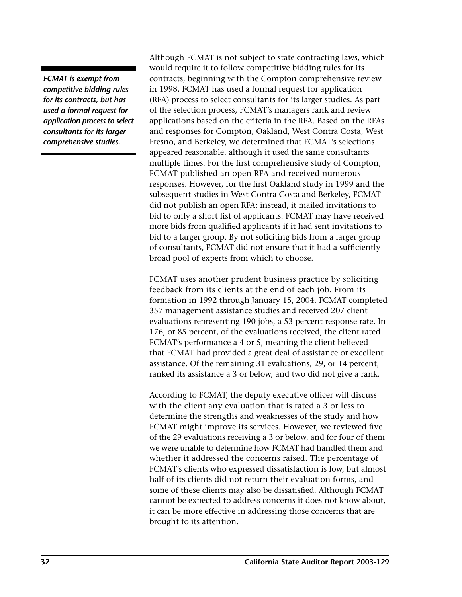*FCMAT is exempt from competitive bidding rules for its contracts, but has used a formal request for application process to select consultants for its larger comprehensive studies.* 

Although FCMAT is not subject to state contracting laws, which would require it to follow competitive bidding rules for its contracts, beginning with the Compton comprehensive review in 1998, FCMAT has used a formal request for application (RFA) process to select consultants for its larger studies. As part of the selection process, FCMAT's managers rank and review applications based on the criteria in the RFA. Based on the RFAs and responses for Compton, Oakland, West Contra Costa, West Fresno, and Berkeley, we determined that FCMAT's selections appeared reasonable, although it used the same consultants multiple times. For the first comprehensive study of Compton, FCMAT published an open RFA and received numerous responses. However, for the first Oakland study in 1999 and the subsequent studies in West Contra Costa and Berkeley, FCMAT did not publish an open RFA; instead, it mailed invitations to bid to only a short list of applicants. FCMAT may have received more bids from qualified applicants if it had sent invitations to bid to a larger group. By not soliciting bids from a larger group of consultants, FCMAT did not ensure that it had a sufficiently broad pool of experts from which to choose.

FCMAT uses another prudent business practice by soliciting feedback from its clients at the end of each job. From its formation in 1992 through January 15, 2004, FCMAT completed 357 management assistance studies and received 207 client evaluations representing 190 jobs, a 53 percent response rate. In 176, or 85 percent, of the evaluations received, the client rated FCMAT's performance a 4 or 5, meaning the client believed that FCMAT had provided a great deal of assistance or excellent assistance. Of the remaining 31 evaluations, 29, or 14 percent, ranked its assistance a 3 or below, and two did not give a rank.

According to FCMAT, the deputy executive officer will discuss with the client any evaluation that is rated a 3 or less to determine the strengths and weaknesses of the study and how FCMAT might improve its services. However, we reviewed five of the 29 evaluations receiving a 3 or below, and for four of them we were unable to determine how FCMAT had handled them and whether it addressed the concerns raised. The percentage of FCMAT's clients who expressed dissatisfaction is low, but almost half of its clients did not return their evaluation forms, and some of these clients may also be dissatisfied. Although FCMAT cannot be expected to address concerns it does not know about, it can be more effective in addressing those concerns that are brought to its attention.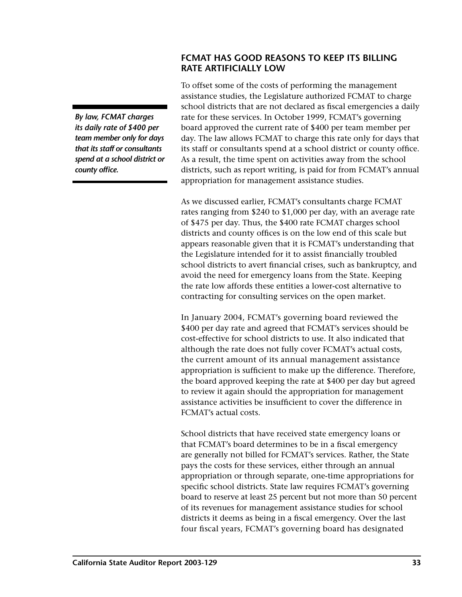<span id="page-36-0"></span>*By law, FCMAT charges its daily rate of \$400 per team member only for days that its staff or consultants spend at a school district or county office.* 

# **FCMAT HAS GOOD REASONS TO KEEP ITS BILLING RATE ARTIFICIALLY LOW**

To offset some of the costs of performing the management assistance studies, the Legislature authorized FCMAT to charge school districts that are not declared as fiscal emergencies a daily rate for these services. In October 1999, FCMAT's governing board approved the current rate of \$400 per team member per day. The law allows FCMAT to charge this rate only for days that its staff or consultants spend at a school district or county office. As a result, the time spent on activities away from the school districts, such as report writing, is paid for from FCMAT's annual appropriation for management assistance studies.

As we discussed earlier, FCMAT's consultants charge FCMAT rates ranging from \$240 to \$1,000 per day, with an average rate of \$475 per day. Thus, the \$400 rate FCMAT charges school districts and county offices is on the low end of this scale but appears reasonable given that it is FCMAT's understanding that the Legislature intended for it to assist financially troubled school districts to avert financial crises, such as bankruptcy, and avoid the need for emergency loans from the State. Keeping the rate low affords these entities a lower-cost alternative to contracting for consulting services on the open market.

In January 2004, FCMAT's governing board reviewed the \$400 per day rate and agreed that FCMAT's services should be cost-effective for school districts to use. It also indicated that although the rate does not fully cover FCMAT's actual costs, the current amount of its annual management assistance appropriation is sufficient to make up the difference. Therefore, the board approved keeping the rate at \$400 per day but agreed to review it again should the appropriation for management assistance activities be insufficient to cover the difference in FCMAT's actual costs.

School districts that have received state emergency loans or that FCMAT's board determines to be in a fiscal emergency are generally not billed for FCMAT's services. Rather, the State pays the costs for these services, either through an annual appropriation or through separate, one-time appropriations for specific school districts. State law requires FCMAT's governing board to reserve at least 25 percent but not more than 50 percent of its revenues for management assistance studies for school districts it deems as being in a fiscal emergency. Over the last four fiscal years, FCMAT's governing board has designated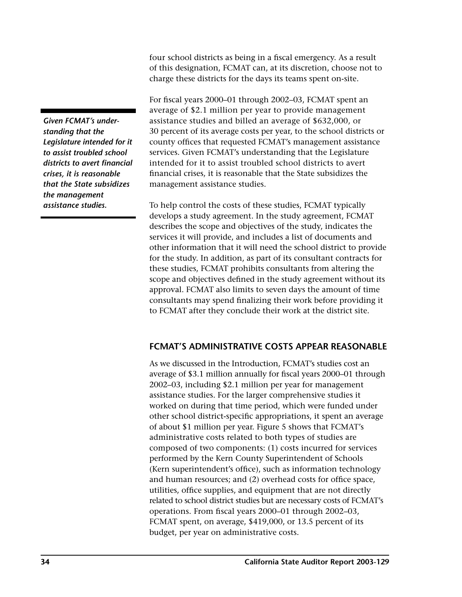<span id="page-37-0"></span>*Given FCMAT's understanding that the Legislature intended for it to assist troubled school districts to avert financial crises, it is reasonable that the State subsidizes the management assistance studies.* 

four school districts as being in a fiscal emergency. As a result of this designation, FCMAT can, at its discretion, choose not to charge these districts for the days its teams spent on-site.

For fiscal years 2000–01 through 2002–03, FCMAT spent an average of \$2.1 million per year to provide management assistance studies and billed an average of \$632,000, or 30 percent of its average costs per year, to the school districts or county offices that requested FCMAT's management assistance services. Given FCMAT's understanding that the Legislature intended for it to assist troubled school districts to avert financial crises, it is reasonable that the State subsidizes the management assistance studies.

To help control the costs of these studies, FCMAT typically develops a study agreement. In the study agreement, FCMAT describes the scope and objectives of the study, indicates the services it will provide, and includes a list of documents and other information that it will need the school district to provide for the study. In addition, as part of its consultant contracts for these studies, FCMAT prohibits consultants from altering the scope and objectives defined in the study agreement without its approval. FCMAT also limits to seven days the amount of time consultants may spend finalizing their work before providing it to FCMAT after they conclude their work at the district site.

# **FCMAT'S ADMINISTRATIVE COSTS APPEAR REASONABLE**

As we discussed in the Introduction, FCMAT's studies cost an average of \$3.1 million annually for fiscal years 2000–01 through 2002–03, including \$2.1 million per year for management assistance studies. For the larger comprehensive studies it worked on during that time period, which were funded under other school district-specific appropriations, it spent an average of about \$1 million per year. Figure 5 shows that FCMAT's administrative costs related to both types of studies are composed of two components: (1) costs incurred for services performed by the Kern County Superintendent of Schools (Kern superintendent's office), such as information technology and human resources; and (2) overhead costs for office space, utilities, office supplies, and equipment that are not directly related to school district studies but are necessary costs of FCMAT's operations. From fiscal years 2000–01 through 2002–03, FCMAT spent, on average, \$419,000, or 13.5 percent of its budget, per year on administrative costs.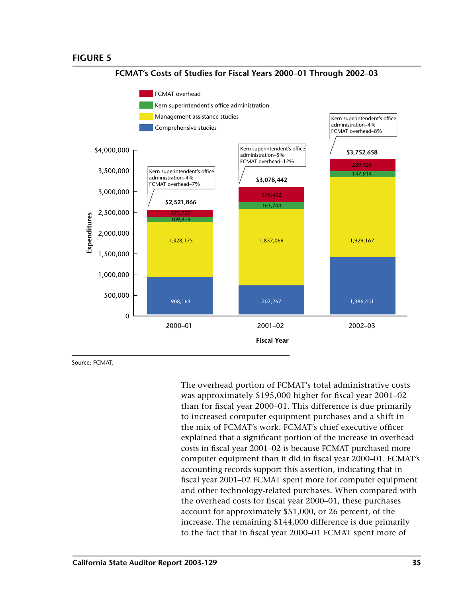

FCMAT's Costs of Studies for Fiscal Years 2000-01 Through 2002-03

Source: FCMAT.

The overhead portion of FCMAT's total administrative costs was approximately \$195,000 higher for fiscal year 2001–02 than for fiscal year 2000-01. This difference is due primarily to increased computer equipment purchases and a shift in the mix of FCMAT's work. FCMAT's chief executive officer explained that a significant portion of the increase in overhead costs in fiscal year 2001-02 is because FCMAT purchased more computer equipment than it did in fiscal year 2000-01. FCMAT's accounting records support this assertion, indicating that in fiscal year 2001-02 FCMAT spent more for computer equipment and other technology-related purchases. When compared with the overhead costs for fiscal year 2000-01, these purchases account for approximately \$51,000, or 26 percent, of the increase. The remaining \$144,000 difference is due primarily to the fact that in fiscal year 2000–01 FCMAT spent more of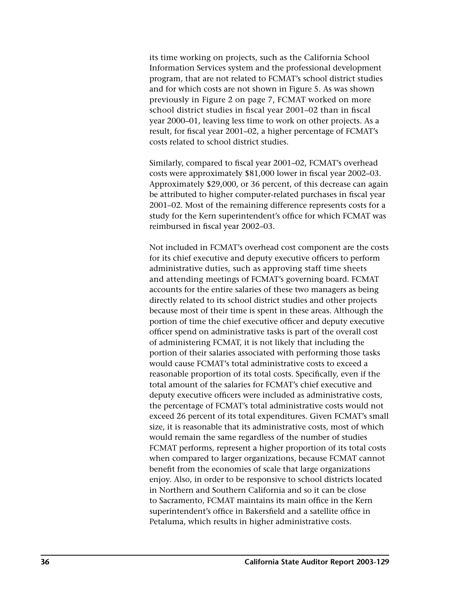its time working on projects, such as the California School Information Services system and the professional development program, that are not related to FCMAT's school district studies and for which costs are not shown in Figure 5. As was shown previously in Figure 2 on page 7, FCMAT worked on more school district studies in fiscal year 2001–02 than in fiscal year 2000–01, leaving less time to work on other projects. As a result, for fiscal year 2001–02, a higher percentage of FCMAT's costs related to school district studies.

Similarly, compared to fiscal year 2001–02, FCMAT's overhead costs were approximately \$81,000 lower in fiscal year 2002–03. Approximately \$29,000, or 36 percent, of this decrease can again be attributed to higher computer-related purchases in fiscal year 2001–02. Most of the remaining difference represents costs for a study for the Kern superintendent's office for which FCMAT was reimbursed in fiscal year 2002–03.

Not included in FCMAT's overhead cost component are the costs for its chief executive and deputy executive officers to perform administrative duties, such as approving staff time sheets and attending meetings of FCMAT's governing board. FCMAT accounts for the entire salaries of these two managers as being directly related to its school district studies and other projects because most of their time is spent in these areas. Although the portion of time the chief executive officer and deputy executive officer spend on administrative tasks is part of the overall cost of administering FCMAT, it is not likely that including the portion of their salaries associated with performing those tasks would cause FCMAT's total administrative costs to exceed a reasonable proportion of its total costs. Specifically, even if the total amount of the salaries for FCMAT's chief executive and deputy executive officers were included as administrative costs, the percentage of FCMAT's total administrative costs would not exceed 26 percent of its total expenditures. Given FCMAT's small size, it is reasonable that its administrative costs, most of which would remain the same regardless of the number of studies FCMAT performs, represent a higher proportion of its total costs when compared to larger organizations, because FCMAT cannot benefit from the economies of scale that large organizations enjoy. Also, in order to be responsive to school districts located in Northern and Southern California and so it can be close to Sacramento, FCMAT maintains its main office in the Kern superintendent's office in Bakersfield and a satellite office in Petaluma, which results in higher administrative costs.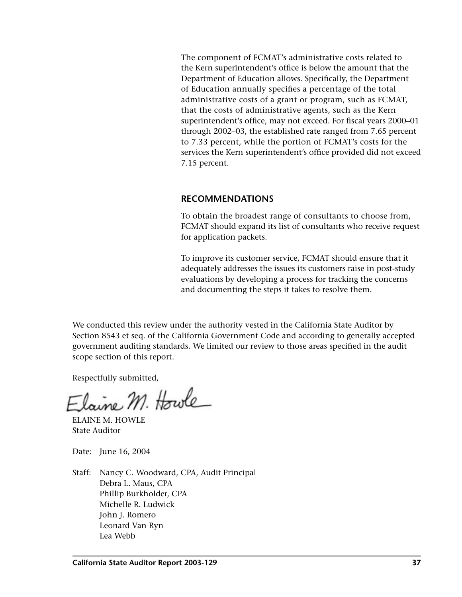<span id="page-40-0"></span>The component of FCMAT's administrative costs related to the Kern superintendent's office is below the amount that the Department of Education allows. Specifically, the Department of Education annually specifies a percentage of the total administrative costs of a grant or program, such as FCMAT, that the costs of administrative agents, such as the Kern superintendent's office, may not exceed. For fiscal years 2000–01 through 2002–03, the established rate ranged from 7.65 percent to 7.33 percent, while the portion of FCMAT's costs for the services the Kern superintendent's office provided did not exceed 7.15 percent.

## **RECOMMENDATIONS**

To obtain the broadest range of consultants to choose from, FCMAT should expand its list of consultants who receive request for application packets.

To improve its customer service, FCMAT should ensure that it adequately addresses the issues its customers raise in post-study evaluations by developing a process for tracking the concerns and documenting the steps it takes to resolve them.

We conducted this review under the authority vested in the California State Auditor by Section 8543 et seq. of the California Government Code and according to generally accepted government auditing standards. We limited our review to those areas specified in the audit scope section of this report.

Respectfully submitted,

Elaine M. Howle

ELAINE M. HOWLE State Auditor

Date: June 16, 2004

Staff: Nancy C. Woodward, CPA, Audit Principal Debra L. Maus, CPA Phillip Burkholder, CPA Michelle R. Ludwick John J. Romero Leonard Van Ryn Lea Webb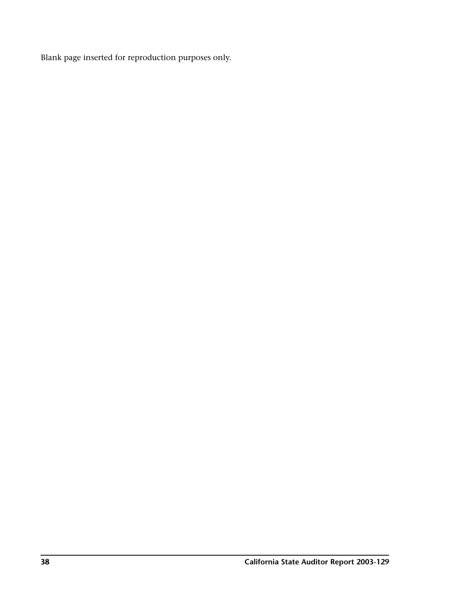Blank page inserted for reproduction purposes only.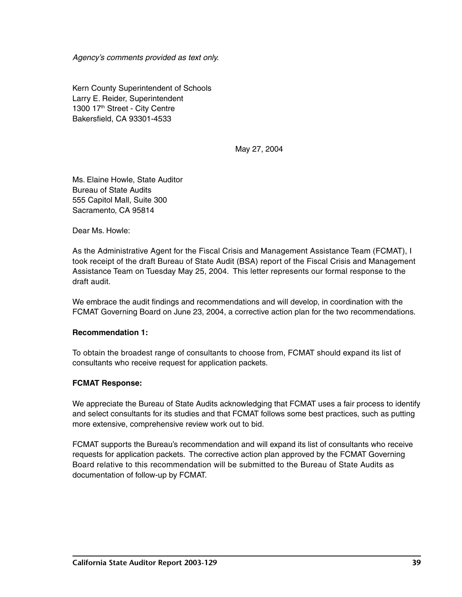<span id="page-42-0"></span>Agency's comments provided as text only.

Kern County Superintendent of Schools Larry E. Reider, Superintendent 1300 17<sup>th</sup> Street - City Centre Bakersfield, CA 93301-4533

May 27, 2004

Ms. Elaine Howle, State Auditor Bureau of State Audits 555 Capitol Mall, Suite 300 Sacramento, CA 95814

Dear Ms. Howle:

As the Administrative Agent for the Fiscal Crisis and Management Assistance Team (FCMAT), I took receipt of the draft Bureau of State Audit (BSA) report of the Fiscal Crisis and Management Assistance Team on Tuesday May 25, 2004. This letter represents our formal response to the draft audit.

We embrace the audit findings and recommendations and will develop, in coordination with the FCMAT Governing Board on June 23, 2004, a corrective action plan for the two recommendations.

#### **Recommendation 1:**

To obtain the broadest range of consultants to choose from, FCMAT should expand its list of consultants who receive request for application packets.

## **FCMAT Response:**

We appreciate the Bureau of State Audits acknowledging that FCMAT uses a fair process to identify and select consultants for its studies and that FCMAT follows some best practices, such as putting more extensive, comprehensive review work out to bid.

FCMAT supports the Bureau's recommendation and will expand its list of consultants who receive requests for application packets. The corrective action plan approved by the FCMAT Governing Board relative to this recommendation will be submitted to the Bureau of State Audits as documentation of follow-up by FCMAT.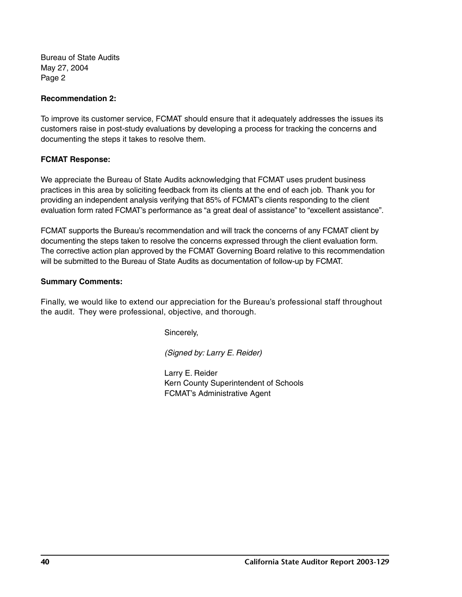Bureau of State Audits May 27, 2004 Page 2

#### **Recommendation 2:**

To improve its customer service, FCMAT should ensure that it adequately addresses the issues its customers raise in post-study evaluations by developing a process for tracking the concerns and documenting the steps it takes to resolve them.

## **FCMAT Response:**

We appreciate the Bureau of State Audits acknowledging that FCMAT uses prudent business practices in this area by soliciting feedback from its clients at the end of each job. Thank you for providing an independent analysis verifying that 85% of FCMAT's clients responding to the client evaluation form rated FCMAT's performance as "a great deal of assistance" to "excellent assistance".

FCMAT supports the Bureau's recommendation and will track the concerns of any FCMAT client by documenting the steps taken to resolve the concerns expressed through the client evaluation form. The corrective action plan approved by the FCMAT Governing Board relative to this recommendation will be submitted to the Bureau of State Audits as documentation of follow-up by FCMAT.

## **Summary Comments:**

Finally, we would like to extend our appreciation for the Bureau's professional staff throughout the audit. They were professional, objective, and thorough.

Sincerely,

(Signed by: Larry E. Reider)

Larry E. Reider Kern County Superintendent of Schools FCMAT's Administrative Agent